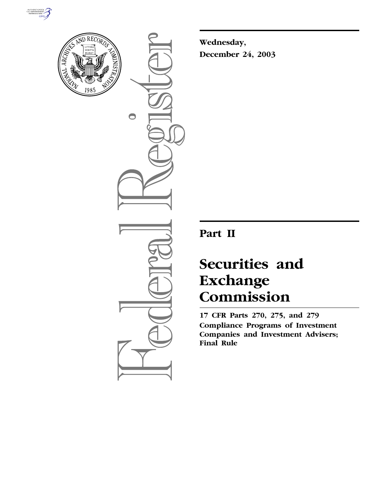



 $\bigcirc$ 

**Wednesday, December 24, 2003**

# **Part II**

# **Securities and Exchange Commission**

**17 CFR Parts 270, 275, and 279 Compliance Programs of Investment Companies and Investment Advisers; Final Rule**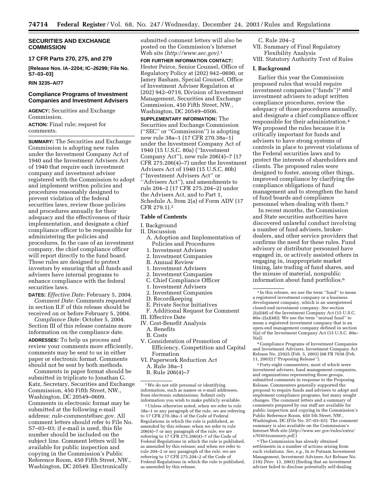# **SECURITIES AND EXCHANGE COMMISSION**

**17 CFR Parts 270, 275, and 279** 

**[Release Nos. IA–2204; IC–26299; File No. S7–03–03]** 

#### **RIN 3235–AI77**

# **Compliance Programs of Investment Companies and Investment Advisers**

**AGENCY:** Securities and Exchange Commission.

**ACTION:** Final rule; request for comments.

**SUMMARY:** The Securities and Exchange Commission is adopting new rules under the Investment Company Act of 1940 and the Investment Advisers Act of 1940 that require each investment company and investment adviser registered with the Commission to adopt and implement written policies and procedures reasonably designed to prevent violation of the federal securities laws, review those policies and procedures annually for their adequacy and the effectiveness of their implementation, and designate a chief compliance officer to be responsible for administering the policies and procedures. In the case of an investment company, the chief compliance officer will report directly to the fund board. These rules are designed to protect investors by ensuring that all funds and advisers have internal programs to enhance compliance with the federal securities laws.

**DATES:** *Effective Date:* February 5, 2004. *Comment Date:* Comments requested in section II.F of this release should be received on or before February 5, 2004.

*Compliance Date:* October 5, 2004. Section III of this release contains more information on the compliance date.

**ADDRESSES:** To help us process and review your comments more efficiently, comments may be sent to us in either paper or electronic format. Comments should not be sent by both methods.

Comments in paper format should be submitted in triplicate to Jonathan G. Katz, Secretary, Securities and Exchange Commission, 450 Fifth Street, NW., Washington, DC 20549–0609. Comments in electronic format may be submitted at the following e-mail address: *rule-comments@sec.gov.* All comment letters should refer to File No. S7–03–03; if e-mail is used, this file number should be included on the subject line. Comment letters will be available for public inspection and copying in the Commission's Public Reference Room, 450 Fifth Street, NW., Washington, DC 20549. Electronically

submitted comment letters will also be posted on the Commission's Internet Web site *(http://www.sec.gov).*1

**FOR FURTHER INFORMATION CONTACT:** Hester Peirce, Senior Counsel, Office of Regulatory Policy at (202) 942–0690, or Jamey Basham, Special Counsel, Office of Investment Adviser Regulation at (202) 942–0719, Division of Investment Management, Securities and Exchange Commission, 450 Fifth Street, NW., Washington, DC 20549–0506.

**SUPPLEMENTARY INFORMATION:** The Securities and Exchange Commission (''SEC'' or ''Commission'') is adopting new rule 38a–1 (17 CFR 270.38a–1) under the Investment Company Act of 1940 (15 U.S.C. 80a) (''Investment Company Act''), new rule 206(4)–7 (17 CFR 275.206(4)–7) under the Investment Advisers Act of 1940 (15 U.S.C. 80b) (''Investment Advisers Act'' or ''Advisers Act''), and amendments to rule 204–2 (17 CFR 275.204–2) under the Advisers Act, and to Part 1, Schedule A, Item 2(a) of Form ADV (17 CFR 279.1).2

# **Table of Contents**

#### I. Background

#### II. Discussion

- A. Adoption and Implementation of Policies and Procedures
- 1. Investment Advisers
- 2. Investment Companies
- B. Annual Review
- 1. Investment Advisers
- 2. Investment Companies
- C. Chief Compliance Officer
- 1. Investment Advisers
- 2. Investment Companies
- D. Recordkeeping
- E. Private Sector Initiatives
- F. Additional Request for Comment
- III. Effective Date
- IV. Cost-Benefit Analysis
	- A. Benefits
	- B. Costs
- V. Consideration of Promotion of Efficiency, Competition and Capital Formation
- VI. Paperwork Reduction Act A. Rule 38a–1
	- B. Rule 206(4)–7

2Unless otherwise noted, when we refer to rule 38a–1 or any paragraph of the rule, we are referring to 17 CFR 270.38a–1 of the Code of Federal Regulations in which the rule is published, as amended by this release; when we refer to rule 206(4)–7 or any paragraph of the rule, we are referring to 17 CFR 275.206(4)–7 of the Code of Federal Regulations in which the rule is published, as amended by this release; and when we refer to rule 204–2 or any paragraph of the rule, we are referring to 17 CFR 275.204–2 of the Code of Federal Regulations in which the rule is published, as amended by this release.

C. Rule 204–2

VII. Summary of Final Regulatory Flexibility Analysis

VIII. Statutory Authority Text of Rules

# **I. Background**

Earlier this year the Commission proposed rules that would require investment companies (''funds'')3 and investment advisers to adopt written compliance procedures, review the adequacy of those procedures annually, and designate a chief compliance officer responsible for their administration.4 We proposed the rules because it is critically important for funds and advisers to have strong systems of controls in place to prevent violations of the Federal securities laws and to protect the interests of shareholders and clients. The proposed rules were designed to foster, among other things, improved compliance by clarifying the compliance obligations of fund management and to strengthen the hand of fund boards and compliance personnel when dealing with them.5

In recent months, the Commission and State securities authorities have discovered unlawful conduct involving a number of fund advisers, brokerdealers, and other service providers that confirms the need for these rules. Fund advisory or distributor personnel have engaged in, or actively assisted others in engaging in, inappropriate market timing, late trading of fund shares, and the misuse of material, nonpublic information about fund portfolios.6

5Forty-eight commenters, most of which were investment advisers, fund management companies, and organizations representing those groups, submitted comments in response to the Proposing Release. Commenters generally supported the proposal to require funds and advisers to adopt and implement compliance programs, but many sought changes. The comment letters and a summary of comments prepared by our staff are available for public inspection and copying in the Commission's Public Reference Room, 450 5th Street, NW., Washington, DC (File No. S7–03–03). The comment summary is also available on the Commission's Internet Web site (*http://www.sec.gov/rules/extra/ s70303summary.pdf.*)

6The Commission has already obtained settlements in a number of actions arising from such violations. *See, e.g.*, In re Putnam Investment Management, Investment Advisers Act Release No. 2192 (Nov. 13, 2003) (finding that an investment adviser failed to disclose potentially self-dealing

<sup>1</sup>We do not edit personal or identifying information, such as names or e-mail addresses, from electronic submissions. Submit only information you wish to make publicly available.

<sup>3</sup> In this release, we use the term ''fund'' to mean a registered investment company or a business development company, which is an unregistered closed-end investment company. *See* section 2(a)(48) of the Investment Company Act (15 U.S.C. 80a–2(a)(48)). We use the term ''mutual fund'' to mean a registered investment company that is an open-end management company defined in section 5(a) of the Investment Company Act (15 U.S.C. 80a– 5(a)).

<sup>4</sup>Compliance Programs of Investment Companies and Investment Advisers, Investment Company Act Release No. 25925 (Feb. 5, 2003) (68 FR 7038 (Feb. 11, 2003)) (''Proposing Release'').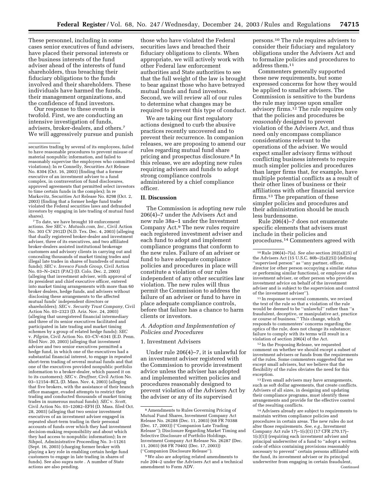These personnel, including in some cases senior executives of fund advisers, have placed their personal interests or the business interests of the fund adviser ahead of the interests of fund shareholders, thus breaching their fiduciary obligations to the funds involved and their shareholders. These individuals have harmed the funds, their management organizations, and the confidence of fund investors.

Our response to these events is twofold. First, we are conducting an intensive investigation of funds, advisers, broker-dealers, and others.7 We will aggressively pursue and punish

7To date, we have brought 10 enforcement actions. *See SEC* v. *Mutuals.com, Inc.,* Civil Action No. 303 CV 2912D (N.D. Tex. Dec. 4, 2003) (alleging that dually registered broker-dealer and investment adviser, three of its executives, and two affiliated broker-dealers assisted institutional brokerage customers and advisory clients in carrying out and concealing thousands of market timing trades and illegal late trades in shares of hundreds of mutual funds); *SEC* v. *Invesco Funds Group,* Civil Action No. 03–N–2421 (PAC) (D. Colo. Dec. 2, 2003) (alleging that investment adviser, with approval of its president and chief executive officer, entered into market timing arrangements with more than 60 broker dealers, hedge funds, and advisers without disclosing these arrangements to the affected mutual funds' independent directors or shareholders); *SEC* v. *Security Trust Company,* Civil Action No. 03–2323 (D. Ariz. Nov. 24, 2003) (alleging that unregistered financial intermediary and three of its senior executives facilitated and participated in late trading and market timing schemes by a group of related hedge funds); *SEC* v. *Pilgrim,* Civil Action No. 03–CV–6341 (E.D. Penn. filed Nov. 20, 2003) (alleging that investment adviser and two senior executives permitted a hedge fund, in which one of the executives had a substantial financial interest, to engage in repeated short-term trading of several mutual funds and that one of the executives provided nonpublic portfolio information to a broker-dealer, which passed it on to its customers); *SEC* v. *Druffner,* Civil Action No. 03–12154–RCL (D. Mass. Nov. 4, 2003) (alleging that five brokers, with the assistance of their branch office manager, evaded attempts to restrict their trading and conducted thousands of market timing trades in numerous mutual funds); *SEC* v. *Scott,* Civil Action No. 03–12082–EFH (D. Mass. filed Oct. 28, 2003) (alleging that two senior investment executives of an investment adviser engaged in repeated short-term trading in their personal accounts of funds over which they had investment decision-making responsibility and about which they had access to nonpublic information); In re Sihpol, Administrative Proceeding No. 3–11261 (Sept. 16, 2003) (charging former broker with playing a key role in enabling certain hedge fund customers to engage in late trading in shares of funds). See also supra note . A number of State actions are also pending.

those who have violated the Federal securities laws and breached their fiduciary obligations to clients. When appropriate, we will actively work with other Federal law enforcement authorities and State authorities to see that the full weight of the law is brought to bear against those who have betrayed mutual funds and fund investors. Second, we will review all of our rules to determine what changes may be required to prevent this type of conduct.

We are taking our first regulatory actions designed to curb the abusive practices recently uncovered and to prevent their recurrence. In companion releases, we are proposing to amend our rules regarding mutual fund share pricing and prospectus disclosure.8 In this release, we are adopting new rules requiring advisers and funds to adopt strong compliance controls administered by a chief compliance officer.

# **II. Discussion**

The Commission is adopting new rule 206(4)–7 under the Advisers Act and new rule 38a–1 under the Investment Company Act.9 The new rules require each registered investment adviser and each fund to adopt and implement compliance programs that conform to the new rules. Failure of an adviser or fund to have adequate compliance policies and procedures in place will constitute a violation of our rules independent of any other securities law violation. The new rules will thus permit the Commission to address the failure of an adviser or fund to have in place adequate compliance controls, before that failure has a chance to harm clients or investors.

# *A. Adoption and Implementation of Policies and Procedures*

# 1. Investment Advisers

Under rule 206(4)–7, it is unlawful for an investment adviser registered with the Commission to provide investment advice unless the adviser has adopted and implemented written policies and procedures reasonably designed to prevent violation of the Advisers Act by the adviser or any of its supervised

persons.10 The rule requires advisers to consider their fiduciary and regulatory obligations under the Advisers Act and to formalize policies and procedures to address them.11

Commenters generally supported these new requirements, but some expressed concerns for how they would be applied to smaller advisers. The Commission is sensitive to the burdens the rule may impose upon smaller advisory firms.12 The rule requires only that the policies and procedures be *reasonably* designed to prevent violation of the Advisers Act, and thus need only encompass compliance considerations relevant to the operations of the adviser. We would expect smaller advisory firms without conflicting business interests to require much simpler policies and procedures than larger firms that, for example, have multiple potential conflicts as a result of their other lines of business or their affiliations with other financial service firms.13 The preparation of these simpler policies and procedures and their administration should be much less burdensome.

Rule 206(4)–7 does not enumerate specific elements that advisers must include in their policies and procedures.14 Commenters agreed with

11 In response to several comments, we revised the text of the rule so that a violation of the rule would be deemed to be ''unlawful'' rather than ''a fraudulent, deceptive, or manipulative act, practice or course of business.'' This change, which responds to commenters' concerns regarding the optics of the rule, does not change its substance; failure to comply with its terms will result in a violation of section 206(4) of the Act.

12 In the Proposing Release, we requested comment on whether we should except a subset of investment advisers or funds from the requirements of the rules. Some commenters suggested that we except small advisers, but we believe that the flexibility of the rules obviates the need for this exception.

<sup>13</sup> Even small advisers may have arrangements, such as soft dollar agreements, that create conflicts. Advisers of all sizes, in designing and updating their compliance programs, must identify these arrangements and provide for the effective control of the resulting conflicts.

14Advisers already are subject to requirements to maintain written compliance policies and procedures in certain areas. The new rules do not alter those requirements. *See, e.g.*, Investment Company Act rule 17j–1(c)(1) (17 CFR 270.17j–  $1(c)(1)$ ) (requiring each investment adviser and principal underwriter of a fund to ''adopt a written code of ethics containing provisions reasonably necessary to prevent'' certain persons affiliated with the fund, its investment adviser or its principal underwriter from engaging in certain fraudulent, Continued

securities trading by several of its employees, failed to have reasonable procedures to prevent misuse of material nonpublic information, and failed to reasonably supervise the employees who committed violations); In re Connelly, Securities Act Release No. 8304 (Oct. 16, 2003) (finding that a former executive of an investment adviser to a fund complex, in contravention of fund disclosures, approved agreements that permitted select investors to time certain funds in the complex); In re Markovitz, Securities Act Release No. 8298 (Oct. 2, 2003) (finding that a former hedge fund trader violated the Federal securities laws and defrauded investors by engaging in late trading of mutual fund shares).

<sup>8</sup>Amendments to Rules Governing Pricing of Mutual Fund Shares, Investment Company Act Release No. 26288 (Dec. 11, 2003) (68 FR 70388 (Dec. 17, 2003)) (''Companion Late Trading Release''); Disclosure Regarding Market Timing and Selective Disclosure of Portfolio Holdings, Investment Company Act Release No. 26287 (Dec. 11, 2003) (68 FR 70402 (Dec. 17, 2003)) (''Companion Disclosure Release'').

<sup>9</sup>We also are adopting related amendments to rule 204–2 under the Advisers Act and a technical amendment to Form ADV.

<sup>10</sup>Rule 206(4)–7(a). *See also* section 202(a)(25) of the Advisers Act (15 U.S.C. 80b–2(a)(25)) (defining ''supervised person'' as ''any partner, officer, director (or other person occupying a similar status or performing similar functions), or employee of an investment adviser, or other person who provides investment advice on behalf of the investment adviser and is subject to the supervision and control of the investment adviser'').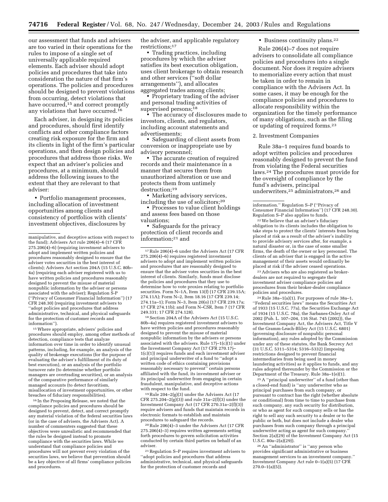our assessment that funds and advisers are too varied in their operations for the rules to impose of a single set of universally applicable required elements. Each adviser should adopt policies and procedures that take into consideration the nature of that firm's operations. The policies and procedures should be designed to prevent violations from occurring, detect violations that have occurred,<sup>15</sup> and correct promptly any violations that have occurred.16

Each adviser, in designing its policies and procedures, should first identify conflicts and other compliance factors creating risk exposure for the firm and its clients in light of the firm's particular operations, and then design policies and procedures that address those risks. We expect that an adviser's policies and procedures, at a minimum, should address the following issues to the extent that they are relevant to that adviser:

• Portfolio management processes, including allocation of investment opportunities among clients and consistency of portfolios with clients' investment objectives, disclosures by

15Where appropriate, advisers' policies and procedures should employ, among other methods of detection, compliance tests that analyze information over time in order to identify unusual patterns, including, for example, an analysis of the quality of brokerage executions (for the purpose of evaluating the adviser's fulfillment of its duty of best execution), or an analysis of the portfolio turnover rate (to determine whether portfolio managers are overtrading securities), or an analysis of the comparative performance of similarly managed accounts (to detect favoritism, misallocation of investment opportunities, or other breaches of fiduciary responsibilities).

16 In the Proposing Release, we noted that the compliance policies and procedures should be designed to prevent, detect, and correct promptly any material violation of the federal securities laws (or in the case of advisers, the Advisers Act). A number of commenters suggested that these objectives were unrealistic and recommended that the rules be designed instead to promote compliance with the securities laws. While we understand that compliance policies and procedures will not prevent every violation of the securities laws, we believe that prevention should be a key objective of all firms' compliance policies and procedures.

the adviser, and applicable regulatory restrictions;17

• Trading practices, including procedures by which the adviser satisfies its best execution obligation, uses client brokerage to obtain research and other services (''soft dollar arrangements''), and allocates aggregated trades among clients;

• Proprietary trading of the adviser and personal trading activities of supervised persons;<sup>18</sup>

• The accuracy of disclosures made to investors, clients, and regulators, including account statements and advertisements;

• Safeguarding of client assets from conversion or inappropriate use by advisory personnel;

• The accurate creation of required records and their maintenance in a manner that secures them from unauthorized alteration or use and protects them from untimely destruction;19

• Marketing advisory services, including the use of solicitors;20

• Processes to value client holdings and assess fees based on those valuations;

• Safeguards for the privacy protection of client records and information;21 and

17Rule 206(4)–6 under the Advisers Act (17 CFR 275.206(4)–6) requires registered investment advisers to adopt and implement written policies and procedures that are reasonably designed to ensure that the adviser votes securities in the best interest of clients. Similarly, funds must disclose the policies and procedures that they use to determine how to vote proxies relating to portfolio securities. Form N-1A, Item 13(f) (17 CFR 239.15A; 274.11A); Form N–2, Item 18.16 (17 CFR 239.14; 274.11a–1); Form N–3, Item 20(o) (17 CFR 239.17a; 17 CFR 274.11b); and Form N–CSR, Item 7 (17 CFR 249.331; 17 CFR 274.128).

18Section 204A of the Advisers Act (15 U.S.C. 80b–4a) requires registered investment advisers to have written policies and procedures reasonably designed to prevent the misuse of material nonpublic information by the advisers or persons associated with the advisers. Rule  $17j-1(c)(1)$  under the Investment Company Act (17 CFR 270.17j– 1(c)(1)) requires funds and each investment adviser and principal underwriter of a fund to ''adopt a written code of ethics containing provisions reasonably necessary to prevent'' certain persons affiliated with the fund, its investment adviser or its principal underwriter from engaging in certain fraudulent, manipulative, and deceptive actions with respect to the fund.

19Rule 204–2(g)(3) under the Advisers Act (17 CFR 275.204-2 $(g)(3)$  and rule 31a-2 $(f)(3)$  under the Investment Company Act (17 CFR 270.31a–2(f)(3)) require advisers and funds that maintain records in electronic formats to establish and maintain procedures to safeguard the records.

20Rule 206(4)–3 under the Advisers Act (17 CFR 275.206(4)–3) requires written agreements setting forth procedures to govern solicitation activities conducted by certain third parties on behalf of an adviser.

21Regulation S–P requires investment advisers to ''adopt policies and procedures that address administrative, technical, and physical safeguards for the protection of customer records and

• Business continuity plans.<sup>22</sup>

Rule 206(4)–7 does not require advisers to consolidate all compliance policies and procedures into a single document. Nor does it require advisers to memorialize every action that must be taken in order to remain in compliance with the Advisers Act. In some cases, it may be enough for the compliance policies and procedures to allocate responsibility within the organization for the timely performance of many obligations, such as the filing or updating of required forms.23

#### 2. Investment Companies

Rule 38a–1 requires fund boards to adopt written policies and procedures reasonably designed to prevent the fund from violating the Federal securities laws.24 The procedures must provide for the oversight of compliance by the fund's advisers, principal underwriters,25 administrators,26 and

22We believe that an adviser's fiduciary obligation to its clients includes the obligation to take steps to protect the clients' interests from being placed at risk as a result of the adviser's inability to provide advisory services after, for example, a natural disaster or, in the case of some smaller firms, the death of the owner or key personnel. The clients of an adviser that is engaged in the active management of their assets would ordinarily be placed at risk if the adviser ceased operations.

23Advisers who are also registered as brokerdealers are not required to segregate their investment adviser compliance policies and procedures from their broker-dealer compliance policies and procedures.

24Rule 38a–1(a)(1). For purposes of rule 38a–1, ''Federal securities laws'' means the Securities Act of 1933 (15 U.S.C. 77a), the Securities Exchange Act of 1934 (15 U.S.C. 78a), the Sarbanes-Oxley Act of 2002 (Pub. L. 107–204, 116 Stat. 745 (2002)), the Investment Company Act, the Advisers Act, Title V of the Gramm-Leach-Bliley Act (15 U.S.C. 6801) (governing disclosure of nonpublic personal information), any rules adopted by the Commission under any of these statutes, the Bank Secrecy Act (31 U.S.C. 5311–5314; 5316–5332) (imposing restrictions designed to prevent financial intermediaries from being used in money laundering activities) as it applies to funds, and any rules adopted thereunder by the Commission or the Department of the Treasury. Rule 38a–1(e)(1).

25A ''principal underwriter'' of a fund (other than a closed-end fund) is ''any underwriter who as principal purchases from such company, or pursuant to contract has the right (whether absolute or conditional) from time to time to purchase from such company, any such security for distribution, or who as agent for such company sells or has the right to sell any such security to a dealer or to the public or both, but does not include a dealer who purchases from such company through a principal underwriter acting as agent for such company. Section 2(a)(29) of the Investment Company Act (15 U.S.C. 80a–2(a)(29)).

26An ''administrator'' is ''any person who provides significant administrative or business management services to an investment company.'' Investment Company Act rule 0–1(a)(5) (17 CFR 270.0–1(a)(5)).

manipulative, and deceptive actions with respect to the fund); Advisers Act rule 206(4)–6 (17 CFR 275.206(4)–6) (requiring investment advisers to adopt and implement written policies and procedures reasonably designed to ensure that the adviser votes securities in the best interest of clients); Advisers Act section 204A (15 U.S.C. 80b– 4a) (requiring each adviser registered with us to have written policies and procedures reasonably designed to prevent the misuse of material nonpublic information by the adviser or persons associated with the adviser); Regulation S-P (''Privacy of Consumer Financial Information'') (17 CFR 248.30) (requiring investment advisers to ''adopt policies and procedures that address administrative, technical, and physical safeguards for the protection of customer records and information'').

information.'' Regulation S–P (''Privacy of Consumer Financial Information'') (17 CFR 248.30). Regulation S–P also applies to funds.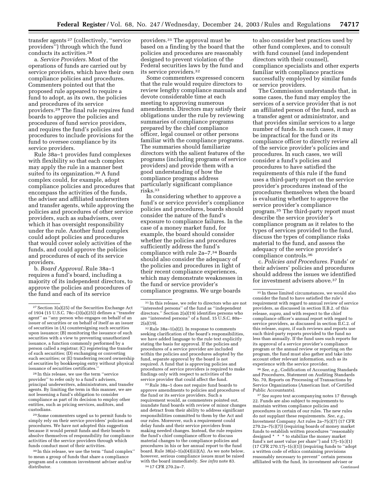transfer agents 27 (collectively, ''service providers'') through which the fund conducts its activities.28

a. *Service Providers.* Most of the operations of funds are carried out by service providers, which have their own compliance policies and procedures. Commenters pointed out that the proposed rule appeared to require a fund to adopt, as its own, the policies and procedures of its service providers.29 The final rule requires fund boards to approve the policies and procedures of fund service providers, and requires the fund's policies and procedures to include provisions for the fund to oversee compliance by its service providers.

Rule 38a–1 provides fund complexes with flexibility so that each complex may apply the rule in a manner best suited to its organization.<sup>30</sup> A fund complex could, for example, adopt compliance policies and procedures that encompass the activities of the funds, the adviser and affiliated underwriters and transfer agents, while approving the policies and procedures of other service providers, such as subadvisers, over which it has oversight responsibility under the rule. Another fund complex could adopt policies and procedures that would cover solely activities of the funds, and could approve the policies and procedures of each of its service providers.

b. *Board Approval.* Rule 38a–1 requires a fund's board, including a majority of its independent directors, to approve the policies and procedures of the fund and each of its service

28 In this release, we use the term ''service provider'' to refer only to a fund's advisers, principal underwriters, administrators, and transfer agents. By limiting the term in this manner, we are not lessening a fund's obligation to consider compliance as part of its decision to employ other entities, such as pricing services, auditors, and custodians.

29Some commenters urged us to permit funds to simply rely on their service providers' policies and procedures. We have not adopted this suggestion because it would permit funds and their boards to absolve themselves of responsibility for compliance activities of the service providers through which funds conduct most of their activities.

30 In this release, we use the term ''fund complex'' to mean a group of funds that share a compliance program and a common investment adviser and/or distributor.

providers.31 The approval must be based on a finding by the board that the policies and procedures are reasonably designed to prevent violation of the Federal securities laws by the fund and its service providers.32

Some commenters expressed concern that the rule would require directors to review lengthy compliance manuals and devote considerable time at each meeting to approving numerous amendments. Directors may satisfy their obligations under the rule by reviewing summaries of compliance programs prepared by the chief compliance officer, legal counsel or other persons familiar with the compliance programs. The summaries should familiarize directors with the salient features of the programs (including programs of service providers) and provide them with a good understanding of how the compliance programs address particularly significant compliance risks.33

In considering whether to approve a fund's or service provider's compliance policies and procedures, boards should consider the nature of the fund's exposure to compliance failures. In the case of a money market fund, for example, the board should consider whether the policies and procedures sufficiently address the fund's compliance with rule 2a–7.34 Boards should also consider the adequacy of the policies and procedures in light of their recent compliance experiences, which may demonstrate weaknesses in the fund or service provider's compliance programs. We urge boards

32Rule 38a–1(a)(2). In response to comments seeking clarification of the board's responsibilities, we have added language to the rule text explicitly stating the basis for approval. If the policies and procedures of a service provider are included within the policies and procedures adopted by the fund, separate approval by the board is not required. A fund that is approving policies and procedures of service providers is required to make findings only with respect to activities of the service provider that could affect the fund.

33Rule 38a–1 does not require fund boards to approve amendments to policies and procedures of the fund or its service providers. Such a requirement would, as commenters pointed out, inundate fund boards with review of minor changes and detract from their ability to address significant responsibilities committed to them by the Act and our rules. Moreover, such a requirement could delay funds and their service providers from making needed changes. Instead, the rule requires the fund's chief compliance officer to discuss material changes to the compliance policies and procedures in his or her annual report to the fund board. Rule 38(a)–1(a)(4)(iii)(A). As we note below, however, serious compliance issues must be raised with the board immediately. *See infra* note 83. 34 17 CFR 270.2a–7.

to also consider best practices used by other fund complexes, and to consult with fund counsel (and independent directors with their counsel), compliance specialists and other experts familiar with compliance practices successfully employed by similar funds or service providers.

The Commission understands that, in some cases, the fund may employ the services of a service provider that is not an affiliated person of the fund, such as a transfer agent or administrator, and that provides similar services to a large number of funds. In such cases, it may be impractical for the fund or its compliance officer to directly review all of the service provider's policies and procedures. In such cases, we will consider a fund's policies and procedures to have satisfied the requirements of this rule if the fund uses a third-party report on the service provider's procedures instead of the procedures themselves when the board is evaluating whether to approve the service provider's compliance program.35 The third-party report must describe the service provider's compliance program as it relates to the types of services provided to the fund, discuss the types of compliance risks material to the fund, and assess the adequacy of the service provider's compliance controls.36

c. *Policies and Procedures.* Funds' or their advisers' policies and procedures should address the issues we identified for investment advisers above.37 In

36*See, e.g.*, Codification of Accounting Standards and Procedures, Statement on Auditing Standards No. 70, Reports on Processing of Transactions by Service Organizations (American Inst. of Certified Public Accountants).

37*See supra* text accompanying notes 17 through 22. Funds are also subject to requirements to maintain written compliance policies and procedures in certain of our rules. The new rules do not supplant these requirements. *See, e.g.*, Investment Company Act rules 2a–7(c)(7) (17 CFR 270.2a–7(c)(7)) (requiring boards of money market funds to establish written procedures ''reasonably designed \* \* \* to stabilize the money market fund's net asset value per share'') and 17j–1(c)(1) (17 CFR 270.17j-1(c)(1)) (requiring funds to "adopt" a written code of ethics containing provisions reasonably necessary to prevent'' certain persons affiliated with the fund, its investment adviser or Continued

<sup>27</sup>Section 3(a)(25) of the Securities Exchange Act of 1934 (15 U.S.C. 78c–(3)(a)(25)) defines a ''transfer agent'' as ''any person who engages on behalf of an issuer of securities or on behalf of itself as an issuer of securities in (A) countersigning such securities upon issuance; (B) monitoring the issuance of such securities with a view to preventing unauthorized issuance, a function commonly performed by a person called a registrar; (C) registering the transfer of such securities; (D) exchanging or converting such securities; or (E) transferring record ownership of securities by bookkeeping entry without physical issuance of securities certificates.''

<sup>31</sup> In this release, we refer to directors who are not ''interested persons'' of the fund as ''independent directors.'' Section 2(a)(19) identifies persons who are ''interested persons'' of a fund. 15 U.S.C. 80a–  $2(a)(19)$ .

<sup>35</sup> In these limited circumstances, we would also consider the fund to have satisfied the rule's requirement with regard to annual review of service providers, as discussed in section II.B.2. of this release, *supra,* and with respect to the chief compliance officer's annual report with regard to service providers, as discussed in section II.C.2. of this release, *supra,* if such reviews and reports use such third-party reports provided to the fund no less than annually. If the fund uses such reports for its approval of a service provider's compliance program or the annual review or reporting on the program, the fund must also gather and take into account other relevant information, such as its experience with the service provider.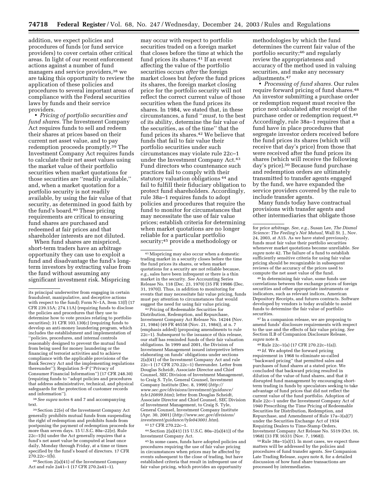addition, we expect policies and procedures of funds (or fund service providers) to cover certain other critical areas. In light of our recent enforcement actions against a number of fund managers and service providers,<sup>38</sup> we are taking this opportunity to review the application of these policies and procedures to several important areas of compliance with the Federal securities laws by funds and their service providers.

• *Pricing of portfolio securities and fund shares.* The Investment Company Act requires funds to sell and redeem their shares at prices based on their current net asset value, and to pay redemption proceeds promptly.39 The Investment Company Act requires funds to calculate their net asset values using the market value of their portfolio securities when market quotations for those securities are ''readily available,'' and, when a market quotation for a portfolio security is not readily available, by using the fair value of that security, as determined in good faith by the fund's board.40 These pricing requirements are critical to ensuring fund shares are purchased and redeemed at fair prices and that shareholder interests are not diluted.

When fund shares are mispriced, short-term traders have an arbitrage opportunity they can use to exploit a fund and disadvantage the fund's longterm investors by extracting value from the fund without assuming any significant investment risk. Mispricing

38*See supra* notes 6 and 7 and accompanying text.

39Section 22(e) of the Investment Company Act generally prohibits mutual funds from suspending the right of redemption and prohibits funds from postponing the payment of redemption proceeds for more than seven days. 15 U.S.C. 80a–22(e). Rule 22c–1(b) under the Act generally requires that a fund's net asset value be computed at least once daily, Monday through Friday, at a time or times specified by the fund's board of directors. 17 CFR  $270.22c - 1(b)$ .

40Section 2(a)(41) of the Investment Company Act and rule 2a41–1 (17 CFR 270.2a41–1).

may occur with respect to portfolio securities traded on a foreign market that closes before the time at which the fund prices its shares.<sup>41</sup> If an event affecting the value of the portfolio securities occurs *after* the foreign market closes but *before* the fund prices its shares, the foreign market closing price for the portfolio security will not reflect the correct current value of those securities when the fund prices its shares. In 1984, we stated that, in these circumstances, a fund ''*must*, to the best of its ability, determine the fair value of the securities, as of the time'' that the fund prices its shares.<sup>42</sup> We believe that funds that fail to fair value their portfolio securities under such circumstances may violate rule 22c–1 under the Investment Company Act.43 Fund directors who countenance such practices fail to comply with their statutory valuation obligations 44 and fail to fulfill their fiduciary obligation to protect fund shareholders. Accordingly, rule 38a–1 requires funds to adopt policies and procedures that require the fund to monitor for circumstances that may necessitate the use of fair value prices; establish criteria for determining when market quotations are no longer reliable for a particular portfolio security;45 provide a methodology or

42Pricing of Redeemable Securities for Distribution, Redemption, and Repurchase, Investment Company Act Release No. 14244 (Nov. 21, 1984) (49 FR 46558 (Nov. 21, 1984)), at n. 7 (emphasis added) (proposing amendments to rule 22c–1). Subsequent to the issuance of this release, our staff has reminded funds of their fair valuation obligations. In 1999 and 2001, the Division of Investment Management issued interpretive letters elaborating on funds' obligations under sections 2(a)(41) of the Investment Company Act and rule 22c–1 (17 CFR 270.22c–1) thereunder. Letter from Douglas Scheidt, Associate Director and Chief Counsel, SEC Division of Investment Management, to Craig S. Tyle, General Counsel, Investment Company Institute (Dec. 8, 1999) (*http:// www.sec.gov/divisions/investment/guidance/ tyle120899.htm*); letter from Douglas Scheidt, Associate Director and Chief Counsel, SEC Division of Investment Management, to Craig S. Tyle, General Counsel, Investment Company Institute (Apr. 30, 2001) (*http://www.sec.gov/divisions/ investment/guidance/tyle043001.htm*).

43 17 CFR 270.22c–1.

44Section 2(a)(41) (15 U.S.C. 80a–2(a)(41)) of the Investment Company Act.

45 In some cases, funds have adopted policies and procedures requiring the use of fair value pricing in circumstances when prices may be affected by events subsequent to the close of trading, but have established criteria that result in infrequent use of fair value pricing, which provides an opportunity

methodologies by which the fund determines the current fair value of the portfolio security;46 and regularly review the appropriateness and accuracy of the method used in valuing securities, and make any necessary adjustments.47

• *Processing of fund shares.* Our rules require forward pricing of fund shares.48 An investor submitting a purchase order or redemption request must receive the price next calculated after receipt of the purchase order or redemption request.49 Accordingly, rule 38a–1 requires that a fund have in place procedures that segregate investor orders received before the fund prices its shares (which will receive that day's price) from those that were received after the fund prices its shares (which will receive the following day's price).50 Because fund purchase and redemption orders are ultimately transmitted to transfer agents engaged by the fund, we have expanded the service providers covered by the rule to include transfer agents.

Many funds today have contractual provisions with transfer agents and other intermediaries that obligate those

46 In determining fair value, some funds use correlations between the exchange prices of foreign securities and other appropriate instruments or indicators, such as relevant indices, American Depository Receipts, and futures contracts. Software developed by vendors is today available to assist funds to determine the fair value of portfolio securities.

47 In a companion release, we are proposing to amend funds' disclosure requirements with respect to the use and the effects of fair value pricing. *See* Section II.B of Companion Disclosure Release, *supra* note 8.

48Rule 22c–1(a) (17 CFR 270.22c–1(a)). 49 *Id.* We adopted the forward pricing requirement in 1968 to eliminate so-called ''backward pricing'' that permitted sales and purchases of fund shares at a stated price. We concluded that backward pricing resulted in dilution of the value of fund shares, and that it disrupted fund management by encouraging shortterm trading in funds by speculators seeking to take advantage of fund prices that did not reflect the current value of the fund portfolio. Adoption of Rule 22c–1 under the Investment Company Act of 1940 Prescribing the Time Pricing of Redeemable Securities for Distribution, Redemption, and Repurchase, and Amendment of Rule 17a–3(a)(7) under the Securities Exchange Act of 1934 Requiring Dealers to Time-Stamp Orders, Investment Company Act Release No. 5519 (Oct. 16, 1968) (33 FR 16331 (Nov. 7, 1968)).

50Rule 38a–1(a)(1). In most cases, we expect these matters will be addressed by the policies and procedures of fund transfer agents. *See* Companion Late Trading Release, *supra* note 8, for a detailed discussion of how fund share transactions are processed by intermediaries.

its principal underwriter from engaging in certain fraudulent, manipulative, and deceptive actions with respect to the fund); Form N–1A, Item 13(f) (17 CFR 239.15A; 274.11A) (requiring funds to disclose the policies and procedures that they use to determine how to vote proxies relating to portfolio securities); 31 CFR 103.130(c) (requiring funds to develop an anti-money laundering program, which includes the establishment and implementation of ''policies, procedures, and internal controls reasonably designed to prevent the mutual fund from being used for money laundering or the financing of terrorist activities and to achieve compliance with the applicable provisions of the Bank Secrecy Act and the implementing regulations thereunder''); Regulation S–P (''Privacy of Consumer Financial Information'') (17 CFR 248.30) (requiring funds to ''adopt policies and procedures that address administrative, technical, and physical safeguards for the protection of customer records and information'').

<sup>41</sup>Mispricing may also occur when a domestic trading market in a security closes before the time the fund prices its shares, or when market quotations for a security are not reliable because, *e.g.*, sales have been infrequent or there is a thin market in the security. *See* Accounting Series Release No. 118 (Dec. 23, 1970) (35 FR 19986 (Dec. 31, 1970)). Thus, in addition to monitoring for events that may necessitate fair value pricing, funds must pay attention to circumstances that would suggest the need for using fair value pricing.

for price arbitrage. *See, e.g.*, Susan Lee, *The Dismal Science: The Feeling's Not Mutual,* Wall St. J., Nov. 24, 2003, at A15. As we have stated previously, funds must fair value their portfolio securities whenever market quotations become unreliable. *See supra* note 42. The failure of a fund to establish sufficiently sensitive criteria for using fair value pricing should be recognizable in subsequent reviews of the accuracy of the prices used to compute the net asset value of the fund.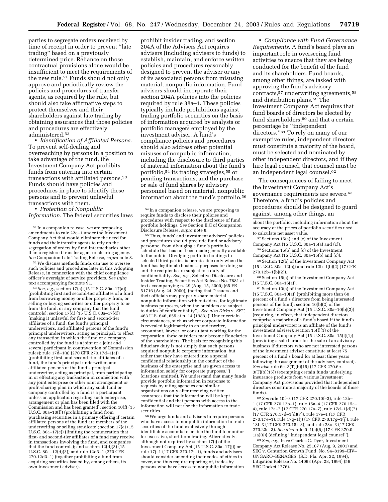parties to segregate orders received by time of receipt in order to prevent ''late trading'' based on a previously determined price. Reliance on those contractual provisions alone would be insufficient to meet the requirements of the new rule.51 Funds should not only approve and periodically review the policies and procedures of transfer agents, as required by the rule, but should also take affirmative steps to protect themselves and their shareholders against late trading by obtaining assurances that those policies and procedures are effectively administered.52

• *Identification of Affiliated Persons.* To prevent self-dealing and overreaching by persons in a position to take advantage of the fund, the Investment Company Act prohibits funds from entering into certain transactions with affiliated persons.<sup>53</sup> Funds should have policies and procedures in place to identify these persons and to prevent unlawful transactions with them.

• *Protection of Nonpublic Information.* The federal securities laws

52We discuss methods funds can use to oversee such policies and procedures later in this Adopting Release, in connection with the chief compliance officer's oversight of service providers. *See infra* text accompanying footnote 91.

53*See, e.g.*, section 17(a) (15 U.S.C. 80a–17(a)) (prohibiting first and second-tier affiliates of a fund from borrowing money or other property from, or selling or buying securities or other property to or from the fund, or any company that the fund controls); section  $17\text{(d)}$  (15 U.S.C. 80a–17(d)) (making it unlawful for first- and second-tier affiliates of a fund, the fund's principal underwriters, and affiliated persons of the fund's principal underwriters, acting as principal, to effect any transaction in which the fund or a company controlled by the fund is a joint or a joint and several participant in contravention of Commission rules); rule 17d–1(a) (270 CFR 270.17d–1(a)) (prohibiting first- and second-tier affiliates of a fund, the fund's principal underwriter, and affiliated persons of the fund's principal underwriter, acting as principal, from participating in or effecting any transaction in connection with any joint enterprise or other joint arrangement or profit-sharing plan in which any such fund or company controlled by a fund is a participant unless an application regarding such enterprise, arrangement or plan has been filed with the Commission and has been granted); section 10(f) (15 U.S.C. 80a-10(f)) (prohibiting a fund from purchasing securities in a primary offering if certain affiliated persons of the fund are members of the underwriting or selling syndicate); section 17(e) (15 U.S.C. 80a–17(e)) (limiting the remuneration that first- and second-tier affiliates of a fund may receive in transactions involving the fund, and companies that the fund controls); and section  $12(d)(3)(15)$ U.S.C. 80a–12(d)(3)) and rule 12d3–1 (270 CFR 270.12d3–1) (together prohibiting a fund from acquiring securities issued by, among others, its own investment adviser).

prohibit insider trading, and section 204A of the Advisers Act requires advisers (including advisers to funds) to establish, maintain, and enforce written policies and procedures reasonably designed to prevent the adviser or any of its associated persons from misusing material, nonpublic information. Fund advisers should incorporate their section 204A policies into the policies required by rule 38a–1. These policies typically include prohibitions against trading portfolio securities on the basis of information acquired by analysts or portfolio managers employed by the investment adviser. A fund's compliance policies and procedures should also address other potential misuses of nonpublic information, including the disclosure to third parties of material information about the fund's portfolio,54 its trading strategies,55 or pending transactions, and the purchase or sale of fund shares by advisory personnel based on material, nonpublic information about the fund's portfolio.<sup>56</sup>

54 In a companion release, we are proposing to require funds to disclose their policies and procedures with respect to the disclosure of fund portfolio holdings. *See* Section II.C of Companion Disclosure Release, *supra* note 8.

55Thus, funds' and investment advisers' policies and procedures should preclude fund or advisory personnel from divulging a fund's portfolio schedule that has not been made generally available to the public. Divulging portfolio holdings to selected third parties is permissible only when the fund has legitimate business purposes for doing so and the recipients are subject to a duty of confidentiality. *See, e.g.*, Selective Disclosure and Insider Trading, Securities Act Release No. 7881 at text accompanying n. 29 (Aug. 15, 2000) (65 FR 51716 (Aug. 24, 2000)) (noting that ''issuers and their officials may properly share material nonpublic information with outsiders, for legitimate business purposes, when the outsiders are subject to duties of confidentiality''). *See also Dirks* v. *SEC,* 463 U.S. 646, 655 at n. 14 (1983) (''Under certain circumstances, such as where corporate information is revealed legitimately to an underwriter, accountant, lawyer, or consultant working for the corporation, these outsiders may become fiduciaries of the shareholders. The basis for recognizing this fiduciary duty is not simply that such persons acquired nonpublic corporate information, but rather that they have entered into a special confidential relationship in the conduct of the business of the enterprise and are given access to information solely for corporate purposes.'') (citations omitted). We understand that many funds provide portfolio information in response to requests by rating agencies and similar organizations only after receiving written assurances that the information will be kept confidential and that persons with access to the information will not use the information to trade securities.

56We urge funds and advisers to require persons who have access to nonpublic information to trade securities of the fund exclusively through identifiable accounts to enable the fund to monitor for excessive, short-term trading. Alternatively, although not required by section 17(j) of the Investment Company Act (15 U.S.C. 80a–17(j)) or rule 17j-1 (17  $CFR 270.17$ j-1), funds and advisers should consider amending their codes of ethics to cover, and thus require reporting of, trades by persons who have access to nonpublic information

• *Compliance with Fund Governance Requirements.* A fund's board plays an important role in overseeing fund activities to ensure that they are being conducted for the benefit of the fund and its shareholders. Fund boards, among other things, are tasked with approving the fund's advisory contracts,57 underwriting agreements,58 and distribution plans.59 The Investment Company Act requires that fund boards of directors be elected by fund shareholders,<sup>60</sup> and that a certain percentage be ''independent directors.''61 To rely on many of our exemptive rules, independent directors must constitute a majority of the board, must be selected and nominated by other independent directors, and if they hire legal counsel, that counsel must be an independent legal counsel.62

The consequences of failing to meet the Investment Company Act's governance requirements are severe.63 Therefore, a fund's policies and procedures should be designed to guard against, among other things, an

about the portfolio, including information about the accuracy of the prices of portfolio securities used to calculate net asset value.

57Sections 15(a) and (c) of the Investment Company Act (15 U.S.C. 80a–15(a) and (c)).

 $^{58}\rm{Sections}$  15(b) and (c) of the Investment Company Act (15 U.S.C. 80a–15(b) and (c)).

59Section 12(b) of the Investment Company Act (15 U.S.C. 80a–12(b)) and rule 12b–1(b)(2) (17 CFR  $270.12b - 1(b)(2)$ 

60Section 16(a) of the Investment Company Act (15 U.S.C. 80a–16(a)).

61Section 10(a) of the Investment Company Act (15 U.S.C. 80a–10(a)) (prohibiting more than 60 percent of a fund's directors from being interested persons of the fund); section 10(b)(2) of the Investment Company Act (15 U.S.C. 80a–10(b)(2)) (requiring, in effect, that independent directors comprise a majority of a fund's board if the fund's principal underwriter is an affiliate of the fund's investment adviser); section 15(f)(1) of the Investment Company Act (15 U.S.C. 80a–15(f)(1)) (providing a safe harbor for the sale of an advisory business if directors who are not interested persons of the investment adviser constitute at least 75 percent of a fund's board for at least three years following the assignment of the advisory contract). *See also* rule 6e–3(T)(b)(15) (17 CFR 270.6e– 3(T)(b)(15)) (exempting certain funds underlying insurance products from various Investment Company Act provisions provided that independent directors constitute a majority of the boards of those funds).

62*See* rule 10f–3 (17 CFR 270.10f–3), rule 12b– 1 (17 CFR 270.12b–1), rule 15a–4 (17 CFR 270.15a– 4), rule 17a–7 (17 CFR 270.17a–7), rule 17d–1(d)(7) (17 CFR 270.17d–1(d)(7)), rule 17e–1 (17 CFR 270.17e–1), rule 17g–1(j) (17 CFR 270.17g–1(j)), rule 18f–3 (17 CFR 270.18f–3), and rule 23c–3 (17 CFR 270.23c–3). *See also* rule 0–1(a)(6) (17 CFR 270.0– 1(a)(6)) (defining ''independent legal counsel'').

63*See, e.g.*, In re Charles G. Dyer, Investment Company Act Release No. 25107 (Aug. 9, 2001) and SEC v. Centurion Growth Fund, No. 94–8199–CIV– UNGARO–BENAGES, (S.D. Fla. Apr. 22, 1994), Litigation Release No. 14063 (Apr. 28, 1994) (56 SEC Docket 1776).

<sup>51</sup> In a companion release, we are proposing amendments to rule 22c–1 under the Investment Company Act that would eliminate the need for funds and their transfer agents to rely on the segregation of orders by fund intermediaries other than a registered transfer agent or clearing agency. *See* Companion Late Trading Release, *supra* note 8.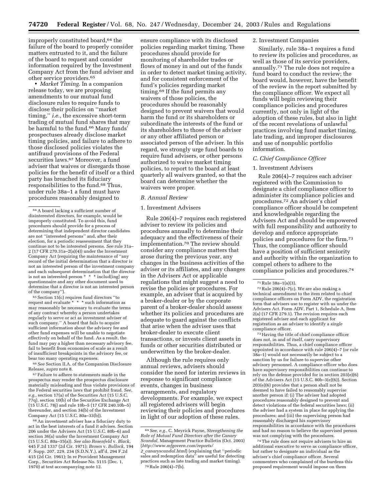improperly constituted board,<sup>64</sup> the failure of the board to properly consider matters entrusted to it, and the failure of the board to request and consider information required by the Investment Company Act from the fund adviser and other service providers.65

• *Market Timing.* In a companion release today, we are proposing amendments to our mutual fund disclosure rules to require funds to disclose their policies on ''market timing,'' *i.e.*, the excessive short-term trading of mutual fund shares that may be harmful to the fund.<sup>66</sup> Many funds' prospectuses already disclose market timing policies, and failure to adhere to those disclosed policies violates the antifraud provisions of the Federal securities laws.67 Moreover, a fund adviser that waives or disregards those policies for the benefit of itself or a third party has breached its fiduciary responsibilities to the fund.68 Thus, under rule 38a–1 a fund must have procedures reasonably designed to

65Section 15(c) requires fund directors ''to request and evaluate \* \* \* such information as may reasonably be necessary to evaluate the terms of any contract whereby a person undertakes regularly to serve or act as investment adviser of such company.'' A board that fails to acquire sufficient information about the advisory fee and other fund expenses will be unable to negotiate effectively on behalf of the fund. As a result, the fund may pay a higher than necessary advisory fee, fail to benefit from economies of scale as a result of insufficient breakpoints in the advisory fee, or bear too many operating expenses.

66*See* Section II.A. of the Companion Disclosure Release, *supra* note 8.

67Failure to adhere to statements made in the prospectus may render the prospectus disclosure materially misleading and thus violate provisions of the Federal securities laws that prohibit fraud. *See, e.g.*, section 17(a) of the Securities Act (15 U.S.C. 77q), section 10(b) of the Securities Exchange Act (15 U.S.C. 78j) and rule 10b–5 (17 CFR 240.10b–5) thereunder, and section 34(b) of the Investment Company Act (15 U.S.C. 80a–33(b)).

68An investment adviser has a fiduciary duty to act in the best interests of a fund it advises. Section 206 under the Advisers Act (15 U.S.C. 80b–6) and section 36(a) under the Investment Company Act (15 U.S.C. 80a–35(a)). *See also Rosenfeld* v. *Black,* 445 F.2d 1337 (2d Cir. 1971); *Brown* v. *Bullock,* 194 F. Supp. 207, 229, 234 (S.D.N.Y.), aff'd, 294 F.2d 415 (2d Cir. 1961); In re Provident Management Corp., Securities Act Release No. 5115 (Dec. 1, 1970) at text accompanying note 12.

ensure compliance with its disclosed policies regarding market timing. These procedures should provide for monitoring of shareholder trades or flows of money in and out of the funds in order to detect market timing activity, and for consistent enforcement of the fund's policies regarding market timing.69 If the fund permits any waivers of those policies, the procedures should be reasonably designed to prevent waivers that would harm the fund or its shareholders or subordinate the interests of the fund or its shareholders to those of the adviser or any other affiliated person or associated person of the adviser. In this regard, we strongly urge fund boards to require fund advisers, or other persons authorized to waive market timing policies, to report to the board at least quarterly all waivers granted, so that the board can determine whether the waivers were proper.

# *B. Annual Review*

#### 1. Investment Advisers

Rule 206(4)–7 requires each registered adviser to review its policies and procedures annually to determine their adequacy and the effectiveness of their implementation.70 The review should consider any compliance matters that arose during the previous year, any changes in the business activities of the adviser or its affiliates, and any changes in the Advisers Act or applicable regulations that might suggest a need to revise the policies or procedures. For example, an adviser that is acquired by a broker-dealer or by the corporate parent of a broker-dealer should assess whether its policies and procedures are adequate to guard against the conflicts that arise when the adviser uses that broker-dealer to execute client transactions, or invests client assets in funds or other securities distributed or underwritten by the broker-dealer.

Although the rule requires only annual reviews, advisers should consider the need for interim reviews in response to significant compliance events, changes in business arrangements, and regulatory developments. For example, we expect all registered advisers will begin reviewing their policies and procedures in light of our adoption of these rules.

### 2. Investment Companies

Similarly, rule 38a–1 requires a fund to review its policies and procedures, as well as those of its service providers, annually.71 The rule does not require a fund board to conduct the review; the board would, however, have the benefit of the review in the report submitted by the compliance officer. We expect all funds will begin reviewing their compliance policies and procedures currently, not only in light of the adoption of these rules, but also in light of the recent revelations of unlawful practices involving fund market timing, late trading, and improper disclosures and use of nonpublic portfolio information.

#### *C. Chief Compliance Officer*

#### 1. Investment Advisers

Rule 206(4)–7 requires each adviser registered with the Commission to designate a chief compliance officer to administer its compliance policies and procedures.72 An adviser's chief compliance officer should be competent and knowledgeable regarding the Advisers Act and should be empowered with full responsibility and authority to develop and enforce appropriate policies and procedures for the firm.73 Thus, the compliance officer should have a position of sufficient seniority and authority within the organization to compel others to adhere to the compliance policies and procedures.74

71Rule 38a–1(a)(3).

73Having the title of chief compliance officer does not, in and of itself, carry supervisory responsibilities. Thus, a chief compliance officer appointed in accordance with rule 206(4)–7 (or rule 38a–1) would not necessarily be subject to a sanction by us for failure to supervise other advisory personnel. A compliance officer who does have supervisory responsibilities can continue to rely on the defense provided for in section 203(e)(6) of the Advisers Act (15 U.S.C. 80b–3(e)(6)). Section 203(e)(6) provides that a person shall not be deemed to have failed to reasonably supervise another person if: (i) The adviser had adopted procedures reasonably designed to prevent and detect violations of the federal securities laws; (ii) the adviser had a system in place for applying the procedures; and (iii) the supervising person had reasonably discharged his supervisory responsibilities in accordance with the procedures and had no reason to believe the supervised person was not complying with the procedures.

74The rule does not require advisers to hire an additional executive to serve as compliance officer, but rather to designate an individual as the adviser's chief compliance officer. Several commenters who complained of the burdens this proposed requirement would impose on them

<sup>64</sup>A board lacking a sufficient number of disinterested directors, for example, would be improperly constituted. To avoid this, fund procedures should provide for a process of determining that independent director candidates are not ''interested persons'' and, after their election, for a periodic reassessment that they continue not to be interested persons. *See* rule 31a– 2 (17 CFR 270.31a–2(a)(4)) under the Investment Company Act (requiring the maintenance of ''any record of the initial determination that a director is not an interested person of the investment company and each subsequent determination that the director is not an interested person \* \* \* includ[ing] any questionnaire and any other document used to determine that a director is not an interested person of the company'').

<sup>69</sup>*See, e.g.*, C. Meyrick Payne, *Strengthening the Role of Mutual Fund Directors after the Canary Scandal,* Management Practice Bulletin (Oct. 2003) (*http://www.mfgovern.com/reports/ 2*\_*canaryscandal.html*) (explaining that ''periodic sales and redemption data'' are useful for detecting practices such as late trading and market timing). 70Rule 206(4)–7(b).

 $72$  Rule 206(4)-7(c). We are also making a technical amendment to the item related to chief compliance officers on Form ADV, the registration form that advisers use to register with us under the Advisers Act. Form ADV, Part 1, Schedule A, Item 2(a) (17 CFR 279.1). The revision requires each registered adviser and each applicant for registration as an adviser to identify a *single* compliance officer.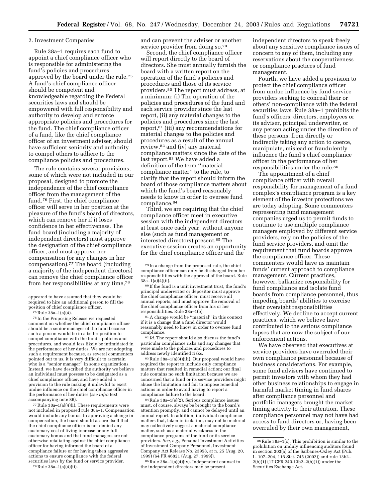#### 2. Investment Companies

Rule 38a–1 requires each fund to appoint a chief compliance officer who is responsible for administering the fund's policies and procedures approved by the board under the rule.75 A fund's chief compliance officer should be competent and knowledgeable regarding the Federal securities laws and should be empowered with full responsibility and authority to develop and enforce appropriate policies and procedures for the fund. The chief compliance officer of a fund, like the chief compliance officer of an investment adviser, should have sufficient seniority and authority to compel others to adhere to the compliance policies and procedures.

The rule contains several provisions, some of which were not included in our proposal, designed to promote the independence of the chief compliance officer from the management of the fund.76 First, the chief compliance officer will serve in her position at the pleasure of the fund's board of directors, which can remove her if it loses confidence in her effectiveness. The fund board (including a majority of independent directors) must approve the designation of the chief compliance officer, and must approve her compensation (or any changes in her compensation).77 The board (including a majority of the independent directors) can remove the chief compliance officer from her responsibilities at any time,78

76 In the Proposing Release we requested comment on whether the chief compliance officer should be a senior manager of the fund because such a person would be in a better position to compel compliance with the fund's policies and procedures, and would less likely be intimidated in the performance of her duties. We are not adopting such a requirement because, as several commenters pointed out to us, it is very difficult to ascertain who is a ''senior manager'' in some organizations. Instead, we have described the authority we believe an individual must possess to be designated as a chief compliance officer, and have added a provision to the rule making it unlawful to exert undue influence on the chief compliance officer in the performance of her duties (*see infra* text accompanying note 86).

 $77$  Rule  $38a-1(a)(4)(i)$ . These requirements were not included in proposed rule 38a–1. Compensation would include any bonus. In approving a change in compensation, the board should assure itself that the chief compliance officer is not denied any customary cost of living increase or any full customary bonus and that fund managers are not otherwise retaliating against the chief compliance officer for having informed the board of a compliance failure or for having taken aggressive actions to ensure compliance with the federal securities laws by the fund or service provider.

78Rule 38a–1(a)(4)(ii).

and can prevent the adviser or another service provider from doing so.79

Second, the chief compliance officer will report directly to the board of directors. She must annually furnish the board with a written report on the operation of the fund's policies and procedures and those of its service providers.80 The report must address, at a minimum: (i) The operation of the policies and procedures of the fund and each service provider since the last report, (ii) any material changes to the policies and procedures since the last report,81 (iii) any recommendations for material changes to the policies and procedures as a result of the annual review,82 and (iv) any material compliance matters since the date of the last report.<sup>83</sup> We have added a definition of the term ''material compliance matter'' to the rule, to clarify that the report should inform the board of those compliance matters about which the fund's board reasonably needs to know in order to oversee fund compliance.84

Third, we are requiring that the chief compliance officer meet in executive session with the independent directors at least once each year, without anyone else (such as fund management or interested directors) present.85 The executive session creates an opportunity for the chief compliance officer and the

81A change would be ''material'' in this context if it is a change that a fund director would reasonably need to know in order to oversee fund compliance.

<sup>82</sup> *Id.* The report should also discuss the fund's particular compliance risks and any changes that were made to the policies and procedures to address newly identified risks.

83Rule 38a–1(a)(4)(iii). Our proposal would have required the report to include only compliance matters that resulted in remedial action; our final rule contains no such limitation because we are concerned that a fund or its service providers might abuse the limitation and fail to impose remedial actions in order to avoid having to report a compliance failure to the board.

84Rule 38a–1(e)(2). Serious compliance issues must, of course, always be brought to the board's attention promptly, and cannot be delayed until an annual report. In addition, individual compliance matters that, taken in isolation, may not be material may collectively suggest a material compliance matter, such as a material weakness in the compliance programs of the fund or its service providers. *See, e.g.*, Personal Investment Activities of Investment Company Personnel, Investment Company Act Release No. 23958, at n. 25 (Aug. 20, 1999) (64 FR 46821 (Aug. 27, 1999)).

85Rule 38a–1(a)(4)(iv). Independent counsel to the independent directors may be present.

independent directors to speak freely about any sensitive compliance issues of concern to any of them, including any reservations about the cooperativeness or compliance practices of fund management.

Fourth, we have added a provision to protect the chief compliance officer from undue influence by fund service providers seeking to conceal their or others' non-compliance with the federal securities laws. Rule 38a–1 prohibits the fund's officers, directors, employees or its adviser, principal underwriter, or any person acting under the direction of these persons, from directly or indirectly taking any action to coerce, manipulate, mislead or fraudulently influence the fund's chief compliance officer in the performance of her responsibilities under the rule.86

The appointment of a chief compliance officer with overall responsibility for management of a fund complex's compliance program is a key element of the investor protections we are today adopting. Some commenters representing fund management companies urged us to permit funds to continue to use multiple compliance managers employed by different service providers, rely on the policies of the fund service providers, and omit the requirement that fund boards approve the compliance officer. These commenters would have us maintain funds' current approach to compliance management. Current practices, however, balkanize responsibility for fund compliance and isolate fund boards from compliance personnel, thus impeding boards' abilities to exercise their oversight responsibilities effectively. We decline to accept current practices, which we believe have contributed to the serious compliance lapses that are now the subject of our enforcement actions.

We have observed that executives at service providers have overruled their own compliance personnel because of business considerations. For example, some fund advisers have continued to permit investors with whom they had other business relationships to engage in harmful market timing in fund shares after compliance personnel and portfolio managers brought the market timing activity to their attention. These compliance personnel may not have had access to fund directors or, having been overruled by their own management,

appeared to have assumed that they would be required to hire an additional person to fill the position of chief compliance officer.

<sup>75</sup>Rule 38a–1(a)(4).

<sup>79</sup> In a change from the proposed rule, the chief compliance officer can only be discharged from her responsibilities with the approval of the board. Rule  $38a-1(a)(4)(ii)$ .

<sup>80</sup> If the fund is a unit investment trust, the fund's principal underwriter or depositor must approve the chief compliance officer, must receive all annual reports, and must approve the removal of the chief compliance officer from his or her responsibilities. Rule 38a–1(b).

<sup>86</sup>Rule 38a–1(c). This prohibition is similar to the prohibition on unduly influencing auditors found in section 303(a) of the Sarbanes-Oxley Act (Pub. L. 107–204, 116 Stat. 745 (2002)) and rule 13b2– 2(b)(1) (17 CFR 240.13b2–2(b)(1)) under the Securities Exchange Act.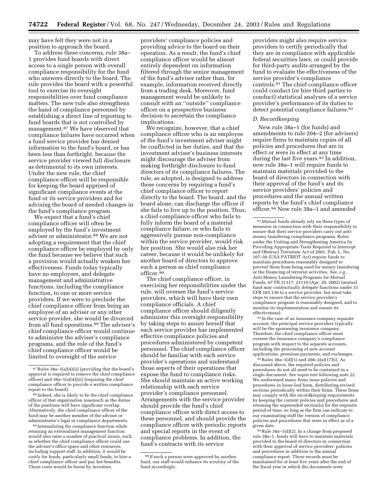may have felt they were not in a position to approach the board.

To address these concerns, rule 38a– 1 provides fund boards with direct access to a single person with overall compliance responsibility for the fund who answers directly to the board. The rule provides the board with a powerful tool to exercise its oversight responsibilities over fund compliance matters. The new rule also strengthens the hand of compliance personnel by establishing a direct line of reporting to fund boards that is not controlled by management.87 We have observed that compliance failures have occurred when a fund service provider has denied information to the fund's board, or has been less than forthright, because the service provider viewed full disclosure as detrimental to its own interests. Under the new rule, the chief compliance officer will be responsible for keeping the board apprised of significant compliance events at the fund or its service providers and for advising the board of needed changes in the fund's compliance program.

We expect that a fund's chief compliance officer will often be employed by the fund's investment adviser or administrator.88 We are not adopting a requirement that the chief compliance officer be employed by only the fund because we believe that such a provision would actually weaken her effectiveness. Funds today typically have no employees, and delegate management and administrative functions, including the compliance function, to one or more service providers. If we were to preclude the chief compliance officer from being an employee of an adviser or any other service provider, she would be divorced from all fund operations.<sup>89</sup> The adviser's chief compliance officer would continue to administer the adviser's compliance programs, and the role of the fund's chief compliance officer would be limited to oversight of the service

89 Internalizing the compliance function while retaining an externalized management function would also raise a number of practical issues, such as whether the chief compliance officer could use the adviser's office space and other resources, including support staff. In addition, it would be costly for funds, particularly small funds, to hire a chief compliance officer and pay her benefits. Those costs would be borne by investors.

providers' compliance policies and providing advice to the board on their operation. As a result, the fund's chief compliance officer would be almost entirely dependent on information filtered through the senior management of the fund's adviser rather than, for example, information received directly from a trading desk. Moreover, fund management would be unlikely to consult with an ''outside'' compliance officer on a prospective business decision to ascertain the compliance implications.

We recognize, however, that a chief compliance officer who is an employee of the fund's investment adviser might be conflicted in her duties, and that the investment adviser's business interests might discourage the adviser from making forthright disclosure to fund directors of its compliance failures. The rule, as adopted, is designed to address these concerns by requiring a fund's chief compliance officer to report directly to the board. The board, and the board alone, can discharge the officer if she fails to live up to the position. Thus, a chief compliance officer who fails to fully inform the board of a material compliance failure, or who fails to aggressively pursue non-compliance within the service provider, would risk her position. She would also risk her career, because it would be unlikely for another board of directors to approve such a person as chief compliance officer.<sup>90</sup>

The chief compliance officer, in exercising her responsibilities under the rule, will oversee the fund's service providers, which will have their own compliance officials. A chief compliance officer should diligently administer this oversight responsibility by taking steps to assure herself that each service provider has implemented effective compliance policies and procedures administered by competent personnel. The chief compliance officer should be familiar with each service provider's operations and understand those aspects of their operations that expose the fund to compliance risks. She should maintain an active working relationship with each service provider's compliance personnel. Arrangements with the service provider should provide the fund's chief compliance officer with direct access to these personnel, and should provide the compliance officer with periodic reports and special reports in the event of compliance problems. In addition, the fund's contracts with its service

providers might also require service providers to certify periodically that they are in compliance with applicable federal securities laws, or could provide for third-party audits arranged by the fund to evaluate the effectiveness of the service provider's compliance controls.91 The chief compliance officer could conduct (or hire third parties to conduct) statistical analyses of a service provider's performance of its duties to detect potential compliance failures.92

### *D. Recordkeeping*

New rule 38a–1 (for funds) and amendments to rule 204–2 (for advisers) require firms to maintain copies of all policies and procedures that are in effect or were in effect at any time during the last five years.<sup>93</sup> In addition, new rule 38a–1 will require funds to maintain materials provided to the board of directors in connection with their approval of the fund's and its service providers' policies and procedures and the annual written reports by the fund's chief compliance officer.94 New rule 38a–1 and amended

92 In the case of an insurance company separate account, the principal service providers typically will be the sponsoring insurance company. Therefore, the chief compliance officer must oversee the insurance company's compliance program with respect to the separate accounts, including the processing of new account applications, premium payments, and exchanges.

93Rules 38a–1(d)(1) and 204–2(a)(17)(i). As discussed above, the required policies and procedures do not all need to be contained in a single document. *See supra* text following note 22. We understand many firms issue policies and procedures in loose-leaf form, distributing revised sections periodically within their firms. These firms may comply with the recordkeeping requirements by keeping the current policies and procedures and retaining the superseded section(s) for the requisite period of time, so long as the firm can indicate to our examinating staff the version of compliance policies and procedures that were in effect as of a given date.

94Rule 38a–1(d)(2). In a change from proposed rule 38a–1, funds will have to maintain materials provided to the board of directors in connection with their approval of service providers' policies and procedures in addition to the annual compliance report. These records must be maintained for at least five years after the end of the fiscal year in which the documents were

<sup>87</sup>Rules 38a–1(a)(4)(ii) (providing that the board's approval is required to remove the chief compliance officer) and 38a–1(a)(4)(iii) (requiring the chief compliance officer to provide a written compliance report to the board).

<sup>&</sup>lt;sup>88</sup> Indeed, she is likely to be the chief compliance officer of that organization inasmuch as the duties of the positions will have significant overlap. Alternatively, the chief compliance officer of the fund may be another member of the adviser or administrator's legal or compliance departments.

<sup>90</sup> If such a person were approved by another fund, our staff would enhance its scrutiny of the fund accordingly.

<sup>91</sup>Mutual funds already rely on these types of measures in connection with their responsibility to ensure that their service providers carry out antimoney laundering compliance programs. Rules under the Uniting and Strengthening America by Providing Appropriate Tools Required to Intercept and Obstruct Terrorism Act of 2001, Pub. L. No. 107–56 (USA PATRIOT Act) require funds to maintain procedures reasonably designed to prevent them from being used for money laundering or the financing of terrorist activities. *See, e.g.,* Anti-Money Laundering Programs for Mutual Funds, 67 FR 21117, 21119 (Apr. 29, 2002) (mutual fund may contractually delegate functions under 31 CFR 103.130 to a service provider, but must take steps to ensure that the service provider's compliance program is reasonably designed, and to monitor its implementation and ensure its effectiveness).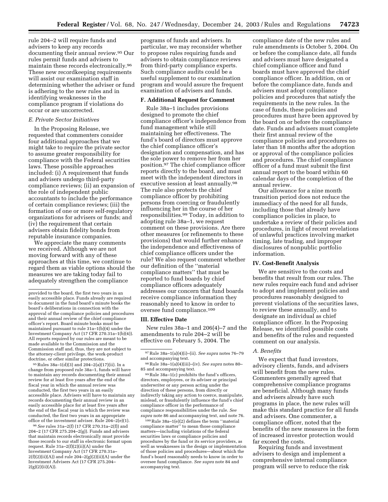rule 204–2 will require funds and advisers to keep any records documenting their annual review.95 Our rules permit funds and advisers to maintain these records electronically.96 These new recordkeeping requirements will assist our examination staff in determining whether the adviser or fund is adhering to the new rules and in identifying weaknesses in the compliance program if violations do occur or are uncorrected.

#### *E. Private Sector Initiatives*

In the Proposing Release, we requested that commenters consider four additional approaches that we might take to require the private sector to assume greater responsibility for compliance with the Federal securities laws. These possible approaches included: (i) A requirement that funds and advisers undergo third-party compliance reviews; (ii) an expansion of the role of independent public accountants to include the performance of certain compliance reviews; (iii) the formation of one or more self-regulatory organizations for advisers or funds; and (iv) the requirement that certain advisers obtain fidelity bonds from reputable insurance companies.

We appreciate the many comments we received. Although we are not moving forward with any of these approaches at this time, we continue to regard them as viable options should the measures we are taking today fail to adequately strengthen the compliance

95Rules 38a–1(d)(3) and 204–2(a)(17)(ii). In a change from proposed rule 38a–1, funds will have to maintain any records documenting their annual review for at least five years after the end of the fiscal year in which the annual review was conducted, the first two years in an easily accessible place. Advisers will have to maintain any records documenting their annual review in an easily accessible place for at least five years after the end of the fiscal year in which the review was conducted, the first two years in an appropriate office of the investment adviser. Rule 204–2(e)(1).

96*See* rules 31a–2(f) (17 CFR 270.31a–2(f)) and 204–2 (17 CFR 275.204–2(g)). Funds and advisers that maintain records electronically must provide those records to our staff in electronic format upon request. Rule 31a–2(f)(2)(ii)(A) under the Investment Company Act (17 CFR 270.31a–  $2(f)(2)(ii)(A))$  and rule  $204-2(g)(2)(ii)(A)$  under the Investment Advisers Act (17 CFR 275.204– 2(g)(2)(ii)(A)).

programs of funds and advisers. In particular, we may reconsider whether to propose rules requiring funds and advisers to obtain compliance reviews from third-party compliance experts. Such compliance audits could be a useful supplement to our examination program and would assure the frequent examination of advisers and funds.

# **F. Additional Request for Comment**

Rule 38a–1 includes provisions designed to promote the chief compliance officer's independence from fund management while still maintaining her effectiveness. The fund's board of directors must approve the chief compliance officer's designation and compensation, and has the sole power to remove her from her position.97 The chief compliance officer reports directly to the board, and must meet with the independent directors in executive session at least annually.<sup>98</sup> The rule also protects the chief compliance officer by prohibiting persons from coercing or fraudulently influencing her in the course of her responsibilities.99 Today, in addition to adopting rule 38a–1, we request comment on these provisions. Are there other measures (or refinements to these provisions) that would further enhance the independence and effectiveness of chief compliance officers under the rule? We also request comment whether our definition of the ''material compliance matters'' that must be reported to fund boards by chief compliance officers adequately addresses our concern that fund boards receive compliance information they reasonably need to know in order to oversee fund compliance.100

#### **III. Effective Date**

New rules 38a–1 and 206(4)–7 and the amendments to rule 204–2 will be effective on February 5, 2004. The

99Rule 38a–1(c) prohibits the fund's officers, directors, employees, or its adviser or principal underwriter or any person acting under the direction of these persons, from directly or indirectly taking any action to coerce, manipulate, mislead, or fraudulently influence the fund's chief compliance officer in the performance of compliance responsibilities under the rule. *See supra* note 86 and accompanying text, and note 76.

100Rule 38a–1(e)(2) defines the term ''material compliance matter'' to mean those compliance matters—including violations of the federal securities laws or compliance policies and procedures by the fund or its service providers, as well as weaknesses in the design or implementation of those policies and procedures—about which the fund's board reasonably needs to know in order to oversee fund compliance. *See supra* note 84 and accompanying text.

compliance date of the new rules and rule amendments is October 5, 2004. On or before the compliance date, all funds and advisers must have designated a chief compliance officer and fund boards must have approved the chief compliance officer. In addition, on or before the compliance date, funds and advisers must adopt compliance policies and procedures that satisfy the requirements in the new rules. In the case of funds, these policies and procedures must have been approved by the board on or before the compliance date. Funds and advisers must complete their first annual review of the compliance policies and procedures no later than 18 months after the adoption or approval of the compliance policies and procedures. The chief compliance officer of a fund must submit the first annual report to the board within 60 calendar days of the completion of the annual review.

Our allowance for a nine month transition period does not reduce the immediacy of the need for all funds, including those that already have compliance policies in place, to undertake a review of their policies and procedures, in light of recent revelations of unlawful practices involving market timing, late trading, and improper disclosures of nonpublic portfolio information.

#### **IV. Cost-Benefit Analysis**

We are sensitive to the costs and benefits that result from our rules. The new rules require each fund and adviser to adopt and implement policies and procedures reasonably designed to prevent violations of the securities laws, to review these annually, and to designate an individual as chief compliance officer. In the Proposing Release, we identified possible costs and benefits of the rules and requested comment on our analysis.

#### *A. Benefits*

We expect that fund investors, advisory clients, funds, and advisers will benefit from the new rules. Commenters generally agreed that comprehensive compliance programs are beneficial. Although many funds and advisers already have such programs in place, the new rules will make this standard practice for all funds and advisers. One commenter, a compliance officer, noted that the benefits of the new measures in the form of increased investor protection would far exceed the costs.

Requiring funds and investment advisers to design and implement a comprehensive internal compliance program will serve to reduce the risk

provided to the board, the first two years in an easily accessible place. Funds already are required to document in the fund board's minute books the board's deliberations in connection with the approval of the compliance policies and procedures and their annual review of the chief compliance officer's report. Board minute books must be maintained pursuant to rule 31a–1(b)(4) under the Investment Company Act (17 CFR 270.31a–1(b)(4)). All reports required by our rules are meant to be made available to the Commission and the Commission staff and, thus, they are not subject to the attorney-client privilege, the work-product doctrine, or other similar protections.

<sup>97</sup>Rule 38a–1(a)(4)(i)–(ii). *See supra* notes 76–79 and accompanying text.

<sup>98</sup>Rule 38a–1(a)(4)(iii)–(iv). *See supra* notes 80– 85 and accompanying text.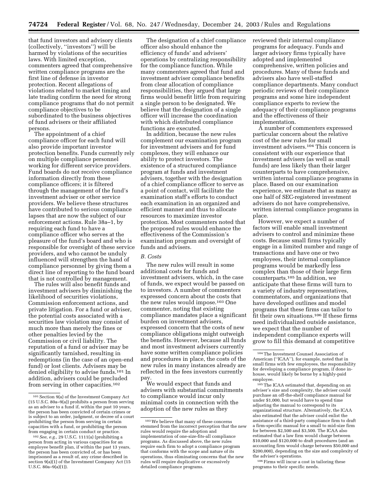that fund investors and advisory clients (collectively, ''investors'') will be harmed by violations of the securities laws. With limited exception, commenters agreed that comprehensive written compliance programs are the first line of defense in investor protection. Recent allegations of violations related to market timing and late trading confirm the need for strong compliance programs that do not permit compliance objectives to be subordinated to the business objectives of fund advisers or their affiliated persons.

The appointment of a chief compliance officer for each fund will also provide important investor protection benefits. Funds currently rely on multiple compliance personnel working for different service providers. Fund boards do not receive compliance information directly from these compliance officers; it is filtered through the management of the fund's investment adviser or other service providers. We believe these structures have contributed to serious compliance lapses that are now the subject of our enforcement actions. Rule 38a–1, by requiring each fund to have a compliance officer who serves at the pleasure of the fund's board and who is responsible for oversight of these service providers, and who cannot be unduly influenced will strengthen the hand of compliance personnel by giving them a direct line of reporting to the fund board that is not controlled by management.

The rules will also benefit funds and investment advisers by diminishing the likelihood of securities violations, Commission enforcement actions, and private litigation. For a fund or adviser, the potential costs associated with a securities law violation may consist of much more than merely the fines or other penalties levied by the Commission or civil liability. The reputation of a fund or adviser may be significantly tarnished, resulting in redemptions (in the case of an open-end fund) or lost clients. Advisers may be denied eligibility to advise funds.101 In addition, advisers could be precluded from serving in other capacities.102

The designation of a chief compliance officer also should enhance the efficiency of funds' and advisers' operations by centralizing responsibility for the compliance function. While many commenters agreed that fund and investment adviser compliance benefits from clear allocation of compliance responsibilities, they argued that large firms would benefit little from requiring a single person to be designated. We believe that the designation of a single officer will increase the coordination with which distributed compliance functions are executed.

In addition, because the new rules complement our examination program for investment advisers and for fund complexes, they will enhance our ability to protect investors. The existence of a structured compliance program at funds and investment advisers, together with the designation of a chief compliance officer to serve as a point of contact, will facilitate the examination staff's efforts to conduct each examination in an organized and efficient manner and thus to allocate resources to maximize investor protection. Most commenters noted that the proposed rules would enhance the effectiveness of the Commission's examination program and oversight of funds and advisers.

# *B. Costs*

The new rules will result in some additional costs for funds and investment advisers, which, in the case of funds, we expect would be passed on to investors. A number of commenters expressed concern about the costs that the new rules would impose.103 One commenter, noting that existing compliance mandates place a significant burden on investment advisers, expressed concern that the costs of new compliance obligations might outweigh the benefits. However, because all funds and most investment advisers currently have some written compliance policies and procedures in place, the costs of the new rules in many instances already are reflected in the fees investors currently pay.

We would expect that funds and advisers with substantial commitments to compliance would incur only minimal costs in connection with the adoption of the new rules as they

reviewed their internal compliance programs for adequacy. Funds and larger advisory firms typically have adopted and implemented comprehensive, written policies and procedures. Many of these funds and advisers also have well-staffed compliance departments. Many conduct periodic reviews of their compliance programs and some hire independent compliance experts to review the adequacy of their compliance programs and the effectiveness of their implementation.

A number of commenters expressed particular concern about the relative cost of the new rules for small investment advisers.104 This concern is consistent with our experience that investment advisers (as well as small funds) are less likely than their larger counterparts to have comprehensive, written internal compliance programs in place. Based on our examination experience, we estimate that as many as one half of SEC-registered investment advisers do not have comprehensive, written internal compliance programs in place.

However, we expect a number of factors will enable small investment advisers to control and minimize these costs. Because small firms typically engage in a limited number and range of transactions and have one or two employees, their internal compliance programs would be markedly less complex than those of their large firm counterparts.105 In addition, we anticipate that these firms will turn to a variety of industry representatives, commentators, and organizations that have developed outlines and model programs that these firms can tailor to fit their own situations.106 If these firms need individualized outside assistance, we expect that the number of independent compliance experts will grow to fill this demand at competitive

105The ICAA estimated that, depending on an adviser's size and complexity, the adviser could purchase an off-the-shelf compliance manual for under \$1,000, but would have to spend time adjusting the manual to correspond to its organizational structure. Alternatively, the ICAA also estimated that the adviser could enlist the assistance of a third-party compliance firm to draft a firm-specific manual for a small to mid-size firm for between \$2,500 and \$3,500. The ICAA also estimated that a law firm would charge between \$10,000 and \$120,000 to draft procedures (and an accounting firm would charge between \$50,000 and \$200,000), depending on the size and complexity of the adviser's operations.

106Firms will incur a cost in tailoring these programs to their specific needs.

<sup>101</sup>Section 9(a) of the Investment Company Act (15 U.S.C. 80a–9(a)) prohibits a person from serving as an adviser to a fund if, within the past 10 years, the person has been convicted of certain crimes or is subject to an order, judgment, or decree of a court prohibiting the person from serving in certain capacities with a fund, or prohibiting the person from engaging in certain conduct or practice.

<sup>102</sup>*See, e.g.*, 29 U.S.C. 1111(a) (prohibiting a person from acting in various capacities for an employee benefit plan, if within the past 13 years, the person has been convicted of, or has been imprisoned as a result of, any crime described in section 9(a)(1) of the Investment Company Act (15 U.S.C. 80a–9(a)(1)).

<sup>103</sup>We believe that many of these concerns stemmed from the incorrect perception that the new rules would require the adoption and implementation of one-size-fits-all compliance programs. As discussed above, the new rules require each firm to adopt a compliance program that conforms with the scope and nature of its operations, thus eliminating concerns that the new rules will require duplicative or excessively detailed compliance programs.

<sup>104</sup>The Investment Counsel Association of American (''ICAA''), for example, noted that in small firms with few employees, the responsibility for developing a compliance program, if done inhouse, would likely be borne by a highly-paid employee.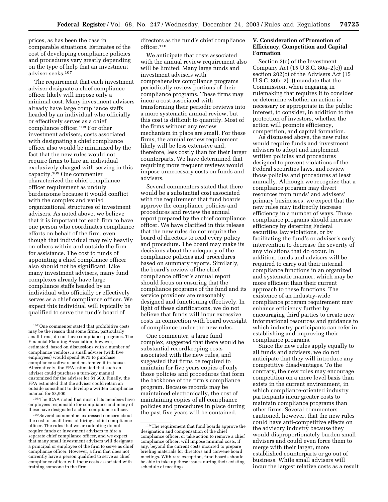prices, as has been the case in comparable situations. Estimates of the cost of developing compliance policies and procedures vary greatly depending on the type of help that an investment adviser seeks.107

The requirement that each investment adviser designate a chief compliance officer likely will impose only a minimal cost. Many investment advisers already have large compliance staffs headed by an individual who officially or effectively serves as a chief compliance officer.108 For other investment advisers, costs associated with designating a chief compliance officer also would be minimized by the fact that the new rules would not require firms to hire an individual exclusively charged with serving in this capacity.109 One commenter characterized the chief compliance officer requirement as unduly burdensome because it would conflict with the complex and varied organizational structures of investment advisers. As noted above, we believe that it is important for each firm to have one person who coordinates compliance efforts on behalf of the firm, even though that individual may rely heavily on others within and outside the firm for assistance. The cost to funds of appointing a chief compliance officer also should not be significant. Like many investment advisers, many fund complexes already have large compliance staffs headed by an individual who officially or effectively serves as a chief compliance officer. We expect this individual will typically be qualified to serve the fund's board of

108The ICAA noted that most of its members have employees responsible for compliance and many of these have designated a chief compliance officer.

109Several commenters expressed concern about the cost to small firms of hiring a chief compliance officer. The rules that we are adopting do not require funds or investment advisers to hire a separate chief compliance officer, and we expect that many small investment advisers will designate a principal or employee of the firm to serve as chief compliance officer. However, a firm that does not currently have a person qualified to serve as chief compliance officer will incur costs associated with training someone in the firm.

directors as the fund's chief compliance officer.110

We anticipate that costs associated with the annual review requirement also will be limited. Many large funds and investment advisers with comprehensive compliance programs periodically review portions of their compliance programs. These firms may incur a cost associated with transforming their periodic reviews into a more systematic annual review, but this cost is difficult to quantify. Most of the firms without any review mechanism in place are small. For these firms, the annual review requirement likely will be less extensive and, therefore, less costly than for their larger counterparts. We have determined that requiring more frequent reviews would impose unnecessary costs on funds and advisers.

Several commenters stated that there would be a substantial cost associated with the requirement that fund boards approve the compliance policies and procedures and review the annual report prepared by the chief compliance officer. We have clarified in this release that the new rules do not require the board of directors to read every policy and procedure. The board may make its decisions about the adequacy of the compliance policies and procedures based on summary reports. Similarly, the board's review of the chief compliance officer's annual report should focus on ensuring that the compliance programs of the fund and its service providers are reasonably designed and functioning effectively. In light of these clarifications, we do not believe that funds will incur excessive costs in connection with board oversight of compliance under the new rules.

One commenter, a large fund complex, suggested that there would be substantial recordkeeping costs associated with the new rules, and suggested that firms be required to maintain for five years copies of only those policies and procedures that form the backbone of the firm's compliance program. Because records may be maintained electronically, the cost of maintaining copies of all compliance policies and procedures in place during the past five years will be contained.

# **V. Consideration of Promotion of Efficiency, Competition and Capital Formation**

Section 2(c) of the Investment Company Act  $(15 \text{ U.S.C. } 80a-2(c))$  and section 202(c) of the Advisers Act (15 U.S.C. 80b–2(c)) mandate that the Commission, when engaging in rulemaking that requires it to consider or determine whether an action is necessary or appropriate in the public interest, to consider, in addition to the protection of investors, whether the action will promote efficiency, competition, and capital formation.

As discussed above, the new rules would require funds and investment advisers to adopt and implement written policies and procedures designed to prevent violations of the Federal securities laws, and review those policies and procedures at least annually. Although we recognize that a compliance program may divert resources from funds' and advisers' primary businesses, we expect that the new rules may indirectly increase efficiency in a number of ways. These compliance programs should increase efficiency by deterring Federal securities law violations, or by facilitating the fund's or adviser's early intervention to decrease the severity of any violations that do occur. In addition, funds and advisers will be required to carry out their internal compliance functions in an organized and systematic manner, which may be more efficient than their current approach to these functions. The existence of an industry-wide compliance program requirement may enhance efficiency further by encouraging third parties to create new informational resources and guidance to which industry participants can refer in establishing and improving their compliance programs.

Since the new rules apply equally to all funds and advisers, we do not anticipate that they will introduce any competitive disadvantages. To the contrary, the new rules may encourage competition on a more level basis than exists in the current environment, in which compliance-oriented industry participants incur greater costs to maintain compliance programs than other firms. Several commenters cautioned, however, that the new rules could have anti-competitive effects on the advisory industry because they would disproportionately burden small advisers and could even force them to merge with their larger, more established counterparts or go out of business. While small advisers will incur the largest relative costs as a result

<sup>107</sup>One commenter stated that prohibitive costs may be the reason that some firms, particularly small firms, do not have compliance programs. The Financial Planning Association, however, estimated, based on discussions with a number of compliance vendors, a small adviser (with five employees) would spend \$675 to purchase compliance software and customize it in-house. Alternatively, the FPA estimated that such an adviser could purchase a turn-key manual customized for the adviser for \$1,500. Finally, the FPA estimated that the adviser could retain an outside consultant to develop a written compliance manual for \$3,900.

<sup>110</sup>The requirement that fund boards approve the designation and compensation of the chief compliance officer, or take action to remove a chief compliance officer, will impose minimal costs, if any, beyond the current costs incurred to prepare briefing materials for directors and convene board meetings. With rare exception, fund boards should be able to take up these issues during their existing schedule of meetings.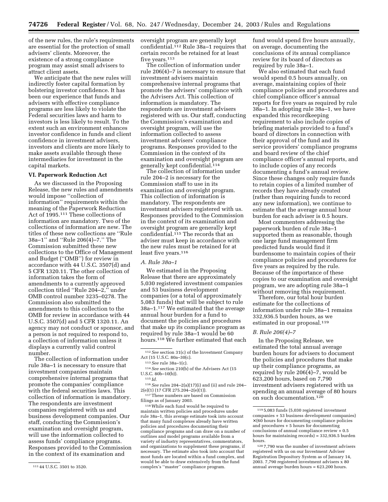of the new rules, the rule's requirements are essential for the protection of small advisers' clients. Moreover, the existence of a strong compliance program may assist small advisers to attract client assets.

We anticipate that the new rules will indirectly foster capital formation by bolstering investor confidence. It has been our experience that funds and advisers with effective compliance programs are less likely to violate the Federal securities laws and harm to investors is less likely to result. To the extent such an environment enhances investor confidence in funds and client confidence in investment advisers, investors and clients are more likely to make assets available through these intermediaries for investment in the capital markets.

#### **VI. Paperwork Reduction Act**

As we discussed in the Proposing Release, the new rules and amendments would impose ''collection of information'' requirements within the meaning of the Paperwork Reduction Act of 1995.111 These collections of information are mandatory. Two of the collections of information are new. The titles of these new collections are ''Rule 38a–1'' and ''Rule 206(4)–7.'' The Commission submitted these new collections to the Office of Management and Budget (''OMB'') for review in accordance with 44 U.S.C. 3507(d) and 5 CFR 1320.11. The other collection of information takes the form of amendments to a currently approved collection titled ''Rule 204–2,'' under OMB control number 3235–0278. The Commission also submitted the amendments to this collection to the OMB for review in accordance with 44 U.S.C. 3507(d) and 5 CFR 1320.11. An agency may not conduct or sponsor, and a person is not required to respond to, a collection of information unless it displays a currently valid control number.

The collection of information under rule 38a–1 is necessary to ensure that investment companies maintain comprehensive internal programs that promote the companies' compliance with the federal securities laws. This collection of information is mandatory. The respondents are investment companies registered with us and business development companies. Our staff, conducting the Commission's examination and oversight program, will use the information collected to assess funds' compliance programs. Responses provided to the Commission in the context of its examination and

oversight program are generally kept confidential.112 Rule 38a–1 requires that certain records be retained for at least five years.113

The collection of information under rule 206(4)–7 is necessary to ensure that investment advisers maintain comprehensive internal programs that promote the advisers' compliance with the Advisers Act. This collection of information is mandatory. The respondents are investment advisers registered with us. Our staff, conducting the Commission's examination and oversight program, will use the information collected to assess investment advisers' compliance programs. Responses provided to the Commission in the context of its examination and oversight program are generally kept confidential.114

The collection of information under rule 204–2 is necessary for the Commission staff to use in its examination and oversight program. This collection of information is mandatory. The respondents are investment advisers registered with us. Responses provided to the Commission in the context of its examination and oversight program are generally kept confidential.<sup>115</sup> The records that an adviser must keep in accordance with the new rules must be retained for at least five years.<sup>116</sup>

#### *A. Rule 38a–1*

We estimated in the Proposing Release that there are approximately 5,030 registered investment companies and 53 business development companies (or a total of approximately 5,083 funds) that will be subject to rule 38a–1.117 We estimated that the average annual hour burden for a fund to document the policies and procedures that make up its compliance program as required by rule 38a–1 would be 60 hours.<sup>118</sup> We further estimated that each

118While each fund would be required to maintain written policies and procedures under rule 38a–1, this average estimate took into account that many fund complexes already have written policies and procedures documenting their compliance programs and can draw on a number of outlines and model programs available from a variety of industry representatives, commentators, and organizations to supplement these programs, if necessary. The estimate also took into account that most funds are located within a fund complex, and would be able to draw extensively from the fund complex's ''master'' compliance program.

fund would spend five hours annually, on average, documenting the conclusions of its annual compliance review for its board of directors as required by rule 38a–1.

We also estimated that each fund would spend 0.5 hours annually, on average, maintaining copies of their compliance policies and procedures and chief compliance officer's annual reports for five years as required by rule 38a–1. In adopting rule 38a–1, we have expanded this recordkeeping requirement to also include copies of briefing materials provided to a fund's board of directors in connection with their approval of the fund and its service providers' compliance programs and board review of the chief compliance officer's annual reports, and to include copies of any records documenting a fund's annual review. Since these changes only require funds to retain copies of a limited number of records they have already created (rather than requiring funds to record any new information), we continue to estimate that the average annual hour burden for each adviser is 0.5 hours.

Most commenters addressing the paperwork burden of rule 38a–1 supported them as reasonable, though one large fund management firm predicted funds would find it burdensome to maintain copies of their compliance policies and procedures for five years as required by the rule. Because of the importance of these copies to our examination and oversight program, we are adopting rule 38a–1 without removing this requirement.

Therefore, our total hour burden estimate for the collections of information under rule 38a–1 remains 332,936.5 burden hours, as we estimated in our proposal.<sup>119</sup>

#### *B. Rule 206(4)–7*

In the Proposing Release, we estimated the total annual average burden hours for advisers to document the policies and procedures that make up their compliance programs, as required by rule 206(4)–7, would be 623,200 hours, based on 7,790 investment advisers registered with us spending an annual average of 80 hours on such documentation.120

<sup>111</sup> 44 U.S.C. 3501 to 3520.

<sup>112</sup>*See* section 31(c) of the Investment Company Act (15 U.S.C. 80a–30(c).

<sup>113</sup>*See* rule 38a–1(c).

<sup>114</sup>*See* section 210(b) of the Advisers Act (15 U.S.C. 80b–10(b)).

<sup>115</sup> *Id.*

<sup>116</sup>*See* rules 204–2(a)(17)(i) and (ii) and rule 204– 2(e)(1) (17 CFR 275.204–2(e)(1)).

<sup>117</sup>These numbers are based on Commission filings as of January 2003.

 $^{\rm 119\,5,083}$  funds (5,030 registered investment companies + 53 business development companies)  $\times$  (60 hours for documenting compliance policies and procedures + 5 hours for documenting conclusions of annual compliance review + 0.5 hours for maintaining records) = 332,936.5 burden hours.

<sup>120</sup> 7,790 was the number of investment advisers registered with us on our Investment Adviser Registration Depository System as of January 14, 2003. 7,790 registered investment advisers x 80 annual average burden hours = 623,200 hours.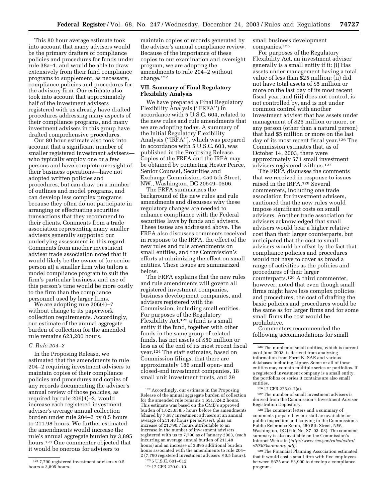This 80 hour average estimate took into account that many advisers would be the primary drafters of compliance policies and procedures for funds under rule 38a–1, and would be able to draw extensively from their fund compliance programs to supplement, as necessary, compliance policies and procedures for the advisory firm. Our estimate also took into account that approximately half of the investment advisers registered with us already have drafted procedures addressing many aspects of their compliance programs, and many investment advisers in this group have drafted comprehensive procedures.

Our 80 hour estimate also took into account that a significant number of smaller registered investment advisers who typically employ one or a few persons and have complete oversight of their business operations—have not adopted written policies and procedures, but can draw on a number of outlines and model programs, and can develop less complex programs because they often do not participate in arranging or effectuating securities transactions that they recommend to their clients. Comments from a trade association representing many smaller advisers generally supported our underlying assessment in this regard. Comments from another investment adviser trade association noted that it would likely be the owner of (or senior person at) a smaller firm who tailors a model compliance program to suit the firm's particular business, and use of this person's time would be more costly to the firm than the compliance personnel used by larger firms.

We are adopting rule 206(4)–7 without change to its paperwork collection requirements. Accordingly, our estimate of the annual aggregate burden of collection for the amended rule remains 623,200 hours.

#### *C. Rule 204–2*

In the Proposing Release, we estimated that the amendments to rule 204–2 requiring investment advisers to maintain copies of their compliance policies and procedures and copies of any records documenting the adviser's annual review of those policies, as required by rule 206(4)–2, would increase each registered investment adviser's average annual collection burden under rule 204–2 by 0.5 hours to 211.98 hours. We further estimated the amendments would increase the rule's annual aggregate burden by 3,895 hours.121 One commenter objected that it would be onerous for advisers to

maintain copies of records generated by the adviser's annual compliance review. Because of the importance of these copies to our examination and oversight program, we are adopting the amendments to rule 204–2 without change.122

## **VII. Summary of Final Regulatory Flexibility Analysis**

We have prepared a Final Regulatory Flexibility Analysis (''FRFA'') in accordance with 5 U.S.C. 604, related to the new rules and rule amendments that we are adopting today. A summary of the Initial Regulatory Flexibility Analysis (''IRFA''), which was prepared in accordance with 5 U.S.C. 603, was published in the Proposing Release. Copies of the FRFA and the IRFA may be obtained by contacting Hester Peirce, Senior Counsel, Securities and Exchange Commission, 450 5th Street, NW., Washington, DC 20549–0506.

The FRFA summarizes the background of the new rules and rule amendments and discusses why these regulatory changes are needed to enhance compliance with the Federal securities laws by funds and advisers. These issues are addressed above. The FRFA also discusses comments received in response to the IRFA, the effect of the new rules and rule amendments on small entities, and the Commission's efforts at minimizing the effect on small entities. These issues are summarized below.

The FRFA explains that the new rules and rule amendments will govern all registered investment companies, business development companies, and advisers registered with the Commission, including small entities. For purposes of the Regulatory Flexibility Act,<sup>123</sup> a fund is a small entity if the fund, together with other funds in the same group of related funds, has net assets of \$50 million or less as of the end of its most recent fiscal year.124 The staff estimates, based on Commission filings, that there are approximately 186 small open- and closed-end investment companies, 18 small unit investment trusts, and 29

small business development companies.125

For purposes of the Regulatory Flexibility Act, an investment adviser generally is a small entity if it: (i) Has assets under management having a total value of less than \$25 million; (ii) did not have total assets of \$5 million or more on the last day of its most recent fiscal year; and (iii) does not control, is not controlled by, and is not under common control with another investment adviser that has assets under management of \$25 million or more, or any person (other than a natural person) that had \$5 million or more on the last day of its most recent fiscal year.126 The Commission estimates that, as of October 14, 2003, there were approximately 571 small investment advisers registered with us.127

The FRFA discusses the comments that we received in response to issues raised in the IRFA.128 Several commenters, including one trade association for investment advisers, cautioned that the new rules would impose significant costs on small advisers. Another trade association for advisers acknowledged that small advisers would bear a higher relative cost than their larger counterparts, but anticipated that the cost to small advisers would be offset by the fact that compliance policies and procedures would not have to cover as broad a range of activities as the policies and procedures of their larger counterparts.129 A third commenter, however, noted that even though small firms might have less complex policies and procedures, the cost of drafting the basic policies and procedures would be the same as for larger firms and for some small firms the cost would be prohibitive.

Commenters recommended the following accommodations for small

127The number of small investment advisers is derived from the Commission's Investment Adviser Registration Depository.

<sup>128</sup>The comment letters and a summary of comments prepared by our staff are available for public inspection and copying in the Commission's Public Reference Room, 450 5th Street, NW., Washington, DC (File No. S7–03–03). The comment summary is also available on the Commission's Internet Web site (*http://www.sec.gov/rules/extra/ s70303summary.pdf*).

129The Financial Planning Association estimated that it would cost a small firm with five employees between \$675 and \$3,900 to develop a compliance program.

<sup>121</sup> 7,790 registered investment advisers x 0.5 hours  $= 3.895$  hours.

<sup>122</sup>Accordingly, our estimate in the Proposing Release of the annual aggregate burden of collection for the amended rule remains 1,651,324.2 hours. This estimate was based on the OMB's approved burden of 1,625,638.5 hours before the amendments (shared by 7,687 investment advisers at an annual average of 211.48 hours per adviser), plus an increase of 21,790.7 hours attributable to an increase in the number of investment advisers registered with us to 7,790 as of January 2003, (each incurring an average annual burden of 211.48 hours) and an increase of 3,895 additional burden hours associated with the amendments to rule 204– 2 (7,790 registered investment advisers  $\times$  0.5 hours).

<sup>123</sup> 5 U.S.C. 601–612.

<sup>124</sup> 17 CFR 270.0–10.

 $^{\rm 125}$  The number of small entities, which is current as of June 2003, is derived from analyzing information from Form N–SAR and various databases including Lipper. Some or all of these entities may contain multiple series or portfolios. If a registered investment company is a small entity, the portfolios or series it contains are also small entities.

<sup>126</sup> 17 CFR 275.0–7(a).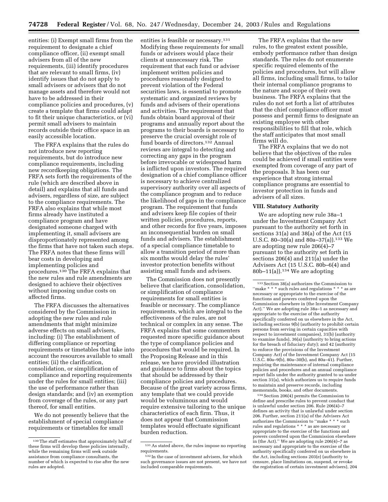entities: (i) Exempt small firms from the requirement to designate a chief compliance officer, (ii) exempt small advisers from all of the new requirements, (iii) identify procedures that are relevant to small firms, (iv) identify issues that do not apply to small advisers or advisers that do not manage assets and therefore would not have to be addressed in their compliance policies and procedures, (v) create a template that firms could adapt to fit their unique characteristics, or (vi) permit small advisers to maintain records outside their office space in an easily accessible location.

The FRFA explains that the rules do not introduce new reporting requirements, but do introduce new compliance requirements, including new recordkeeping obligations. The FRFA sets forth the requirements of the rule (which are described above in detail) and explains that all funds and advisers, regardless of size, are subject to the compliance requirements. The FRFA also explains that while most firms already have instituted a compliance program and have designated someone charged with implementing it, small advisers are disproportionately represented among the firms that have not taken such steps. The FRFA notes that these firms will bear costs in developing and implementing policies and procedures.<sup>130</sup> The FRFA explains that the new rules and rule amendments are designed to achieve their objectives without imposing undue costs on affected firms.

The FRFA discusses the alternatives considered by the Commission in adopting the new rules and rule amendments that might minimize adverse effects on small advisers, including: (i) The establishment of differing compliance or reporting requirements or timetables that take into account the resources available to small entities; (ii) the clarification, consolidation, or simplification of compliance and reporting requirements under the rules for small entities; (iii) the use of performance rather than design standards; and (iv) an exemption from coverage of the rules, or any part thereof, for small entities.

We do not presently believe that the establishment of special compliance requirements or timetables for small

entities is feasible or necessary.<sup>131</sup> Modifying these requirements for small funds or advisers would place their clients at unnecessary risk. The requirement that each fund or adviser implement written policies and procedures reasonably designed to prevent violation of the Federal securities laws, is essential to promote systematic and organized reviews by funds and advisers of their operations and activities. The requirement that funds obtain board approval of their programs and annually report about the programs to their boards is necessary to preserve the crucial oversight role of fund boards of directors.<sup>132</sup> Annual reviews are integral to detecting and correcting any gaps in the program before irrevocable or widespread harm is inflicted upon investors. The required designation of a chief compliance officer is necessary to achieve centralized supervisory authority over all aspects of the compliance program and to reduce the likelihood of gaps in the compliance program. The requirement that funds and advisers keep file copies of their written policies, procedures, reports, and other records for five years, imposes an inconsequential burden on small funds and advisers. The establishment of a special compliance timetable to allow a transition period of more than six months would delay the rules' investor protection benefits without assisting small funds and advisers.

The Commission does not presently believe that clarification, consolidation, or simplification of compliance requirements for small entities is feasible or necessary. The compliance requirements, which are integral to the effectiveness of the rules, are not technical or complex in any sense. The FRFA explains that some commenters requested more specific guidance about the type of compliance policies and procedures that would be required. In the Proposing Release and in this release, we have provided illustration and guidance to firms about the topics that should be addressed by their compliance policies and procedures. Because of the great variety across firms, any template that we could provide would be voluminous and would require extensive tailoring to the unique characteristics of each firm. Thus, it does not appear that Commission templates would effectuate significant burden reduction.

The FRFA explains that the new rules, to the greatest extent possible, embody performance rather than design standards. The rules do not enumerate specific required elements of the policies and procedures, but will allow all firms, including small firms, to tailor their internal compliance programs to the nature and scope of their own business. The FRFA explains that the rules do not set forth a list of attributes that the chief compliance officer must possess and permit firms to designate an existing employee with other responsibilities to fill that role, which the staff anticipates that most small firms will do.

The FRFA explains that we do not believe that the objectives of the rules could be achieved if small entities were exempted from coverage of any part of the proposals. It has been our experience that strong internal compliance programs are essential to investor protection in funds and advisers of all sizes.

#### **VIII. Statutory Authority**

We are adopting new rule 38a–1 under the Investment Company Act pursuant to the authority set forth in sections 31(a) and 38(a) of the Act (15 U.S.C. 80–30(a) and 80a–37(a)).133 We are adopting new rule 206(4)–7 pursuant to the authority set forth in sections 206(4) and 211(a) under the Advisers Act (15 U.S.C. 80b–6(4) and  $80b-11(a)$ .<sup>134</sup> We are adopting

134Section 206(4) permits the Commission to define and prescribe rules to prevent conduct that is unlawful under section 206. Rule 206(4)–7 defines an activity that is unlawful under section 206. Further, section 211(a) of the Advisers Act authorizes the Commission to ''make \* \* \* such rules and regulations \* \* \* as are necessary or appropriate to the exercise of the functions and powers conferred upon the Commission elsewhere in (the Act).'' We are adopting rule 206(4)–7 as necessary and appropriate to the exercise of the authority specifically conferred on us elsewhere in the Act, including sections 203(e) (authority to censure, place limitations on, suspend, or revoke the registration of certain investment advisers), 204

<sup>130</sup>The staff estimates that approximately half of these firms will develop these policies internally, while the remaining firms will seek outside assistance from compliance consultants, the number of which is expected to rise after the new rules are adopted.

 $^{\rm 131}$  As stated above, the rules impose no reporting requirements.

<sup>132</sup> In the case of investment advisers, for which such governance issues are not present, we have not included comparable requirements.

<sup>133</sup>Section 38(a) authorizes the Commission to "make \* \* \* such rules and regulations \* \* \* as are necessary or appropriate to the exercise of the functions and powers conferred upon the Commission elsewhere in (the Investment Company Act).'' We are adopting rule 38a–1 as necessary and appropriate to the exercise of the authority specifically conferred on us elsewhere in the Act, including sections 9(b) (authority to prohibit certain persons from serving in certain capacities with respect to investment companies), 31(b) (authority to examine funds), 36(a) (authority to bring actions for the breach of fiduciary duty); and 42 (authority to enforce the provisions of the Investment Company Act) of the Investment Company Act (15 U.S.C. 80a–9(b), 80a–30(b), and 80a–41). Further, requiring the maintenance of internal compliance policies and procedures and an annual compliance report falls under the authority granted to us under section 31(a), which authorizes us to require funds to maintain and preserve records, including memoranda, books, and other documents.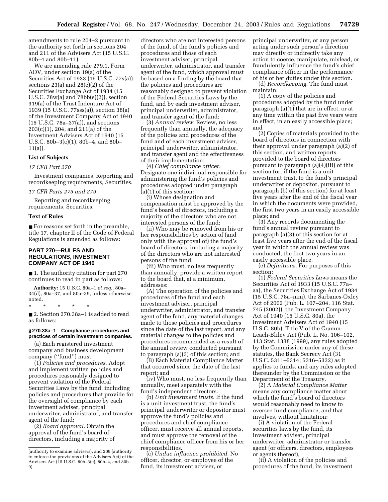amendments to rule 204–2 pursuant to the authority set forth in sections 204 and 211 of the Advisers Act (15 U.S.C. 80b–4 and 80b–11).

We are amending rule 279.1, Form ADV, under section 19(a) of the Securities Act of 1933 (15 U.S.C. 77s(a)), sections 23(a) and 28(e)(2) of the Securities Exchange Act of 1934 (15 U.S.C. 78w(a) and 78bb(e)(2)), section 319(a) of the Trust Indenture Act of 1939 (15 U.S.C. 77sss(a)), section 38(a) of the Investment Company Act of 1940 (15 U.S.C. 78a–37(a)), and sections 203(c)(1), 204, and 211(a) of the Investment Advisers Act of 1940 (15 U.S.C. 80b–3(c)(1), 80b–4, and 80b– 11(a)).

#### **List of Subjects**

#### *17 CFR Part 270*

Investment companies, Reporting and recordkeeping requirements, Securities.

### *17 CFR Parts 275 and 279*

Reporting and recordkeeping requirements, Securities.

#### **Text of Rules**

■ For reasons set forth in the preamble, title 17, chapter II of the Code of Federal Regulations is amended as follows:

# **PART 270—RULES AND REGULATIONS, INVESTMENT COMPANY ACT OF 1940**

■ 1. The authority citation for part 270 continues to read in part as follows:

**Authority:** 15 U.S.C. 80a–1 *et seq.*, 80a– 34(d), 80a–37, and 80a–39, unless otherwise noted.

\* \* \* \* \*

■ 2. Section 270.38a–1 is added to read as follows:

#### **§ 270.38a–1 Compliance procedures and practices of certain investment companies.**

(a) Each registered investment company and business development company (''fund'') must:

(1) *Policies and procedures.* Adopt and implement written policies and procedures reasonably designed to prevent violation of the Federal Securities Laws by the fund, including policies and procedures that provide for the oversight of compliance by each investment adviser, principal underwriter, administrator, and transfer agent of the fund;

(2) *Board approval.* Obtain the approval of the fund's board of directors, including a majority of

directors who are not interested persons of the fund, of the fund's policies and procedures and those of each investment adviser, principal underwriter, administrator, and transfer agent of the fund, which approval must be based on a finding by the board that the policies and procedures are reasonably designed to prevent violation of the Federal Securities Laws by the fund, and by each investment adviser, principal underwriter, administrator, and transfer agent of the fund;

(3) *Annual review.* Review, no less frequently than annually, the adequacy of the policies and procedures of the fund and of each investment adviser, principal underwriter, administrator, and transfer agent and the effectiveness of their implementation;

(4) *Chief compliance officer.* Designate one individual responsible for administering the fund's policies and procedures adopted under paragraph (a)(1) of this section:

(i) Whose designation and compensation must be approved by the fund's board of directors, including a majority of the directors who are not interested persons of the fund;

(ii) Who may be removed from his or her responsibilities by action of (and only with the approval of) the fund's board of directors, including a majority of the directors who are not interested persons of the fund;

(iii) Who must, no less frequently than annually, provide a written report to the board that, at a minimum, addresses:

(A) The operation of the policies and procedures of the fund and each investment adviser, principal underwriter, administrator, and transfer agent of the fund, any material changes made to those policies and procedures since the date of the last report, and any material changes to the policies and procedures recommended as a result of the annual review conducted pursuant to paragraph (a)(3) of this section; and

(B) Each Material Compliance Matter that occurred since the date of the last report; and

(iv) Who must, no less frequently than annually, meet separately with the fund's independent directors.

(b) *Unit investment trusts.* If the fund is a unit investment trust, the fund's principal underwriter or depositor must approve the fund's policies and procedures and chief compliance officer, must receive all annual reports, and must approve the removal of the chief compliance officer from his or her responsibilities.

(c) *Undue influence prohibited.* No officer, director, or employee of the fund, its investment adviser, or

principal underwriter, or any person acting under such person's direction may directly or indirectly take any action to coerce, manipulate, mislead, or fraudulently influence the fund's chief compliance officer in the performance of his or her duties under this section.

(d) *Recordkeeping.* The fund must maintain:

(1) A copy of the policies and procedures adopted by the fund under paragraph (a)(1) that are in effect, or at any time within the past five years were in effect, in an easily accessible place; and

(2) Copies of materials provided to the board of directors in connection with their approval under paragraph (a)(2) of this section, and written reports provided to the board of directors pursuant to paragraph (a)(4)(iii) of this section (or, if the fund is a unit investment trust, to the fund's principal underwriter or depositor, pursuant to paragraph (b) of this section) for at least five years after the end of the fiscal year in which the documents were provided, the first two years in an easily accessible place; and

(3) Any records documenting the fund's annual review pursuant to paragraph (a)(3) of this section for at least five years after the end of the fiscal year in which the annual review was conducted, the first two years in an easily accessible place.

(e) *Definitions.* For purposes of this section:

(1) *Federal Securities Laws* means the Securities Act of 1933 (15 U.S.C. 77a– aa), the Securities Exchange Act of 1934 (15 U.S.C. 78a–mm), the Sarbanes-Oxley Act of 2002 (Pub. L. 107–204, 116 Stat. 745 (2002)), the Investment Company Act of 1940 (15 U.S.C. 80a), the Investment Advisers Act of 1940 (15 U.S.C. 80b), Title V of the Gramm-Leach-Bliley Act (Pub. L. No. 106–102, 113 Stat. 1338 (1999), any rules adopted by the Commission under any of these statutes, the Bank Secrecy Act (31 U.S.C. 5311–5314; 5316–5332) as it applies to funds, and any rules adopted thereunder by the Commission or the Department of the Treasury.

(2) A *Material Compliance Matter* means any compliance matter about which the fund's board of directors would reasonably need to know to oversee fund compliance, and that involves, without limitation:

(i) A violation of the Federal securities laws by the fund, its investment adviser, principal underwriter, administrator or transfer agent (or officers, directors, employees or agents thereof),

(ii) A violation of the policies and procedures of the fund, its investment

<sup>(</sup>authority to examine advisers), and 209 (authority to enforce the provisions of the Advisers Act) of the Advisers Act (15 U.S.C. 80b–3(e), 80b–4, and 80b– 9).